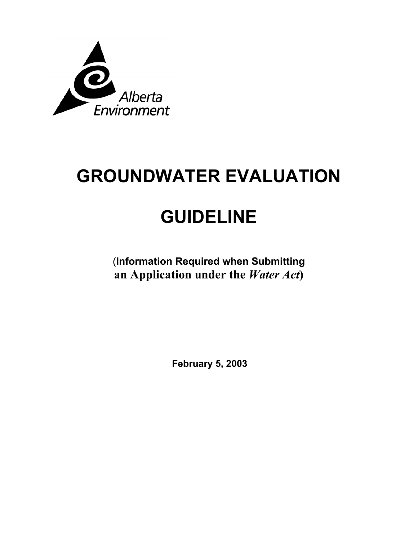

# **GROUNDWATER EVALUATION**

## **GUIDELINE**

(**Information Required when Submitting an Application under the** *Water Act***)** 

**February 5, 2003**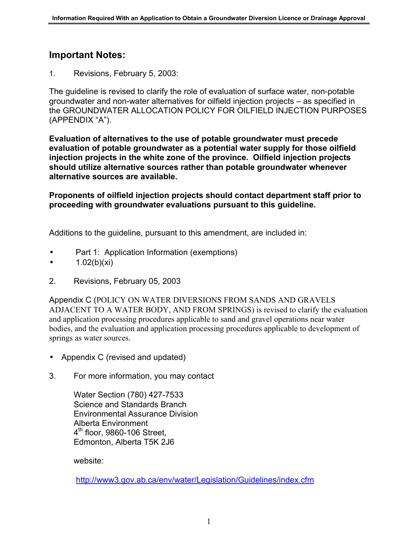#### **Important Notes:**

1. Revisions, February 5, 2003:

The guideline is revised to clarify the role of evaluation of surface water, non-potable groundwater and non-water alternatives for oilfield injection projects – as specified in the GROUNDWATER ALLOCATION POLICY FOR OILFIELD INJECTION PURPOSES (APPENDIX "A").

**Evaluation of alternatives to the use of potable groundwater must precede evaluation of potable groundwater as a potential water supply for those oilfield injection projects in the white zone of the province. Oilfield injection projects should utilize alternative sources rather than potable groundwater whenever alternative sources are available.** 

**Proponents of oilfield injection projects should contact department staff prior to proceeding with groundwater evaluations pursuant to this guideline.** 

Additions to the guideline, pursuant to this amendment, are included in:

- Part 1: Application Information (exemptions)
- $1.02(b)(xi)$
- 2. Revisions, February 05, 2003

Appendix C (POLICY ON WATER DIVERSIONS FROM SANDS AND GRAVELS ADJACENT TO A WATER BODY, AND FROM SPRINGS) is revised to clarify the evaluation and application processing procedures applicable to sand and gravel operations near water bodies, and the evaluation and application processing procedures applicable to development of springs as water sources.

- Appendix C (revised and updated)
- 3. For more information, you may contact

Water Section (780) 427-7533 Science and Standards Branch Environmental Assurance Division Alberta Environment  $4<sup>th</sup>$  floor, 9860-106 Street, Edmonton, Alberta T5K 2J6

website:

<http://www3.gov.ab.ca/env/water/Legislation/Guidelines/index.cfm>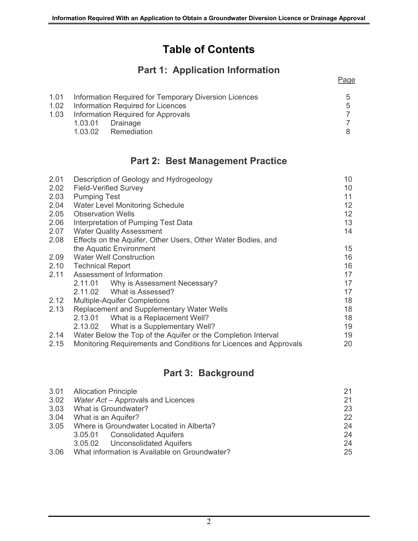## **Table of Contents**

## **Part 1: Application Information**

Page

|                                         | 1.01 Information Required for Temporary Diversion Licences | 5  |
|-----------------------------------------|------------------------------------------------------------|----|
|                                         | 1.02 Information Required for Licences                     | 5  |
| 1.03 Information Required for Approvals |                                                            |    |
|                                         | 1.03.01 Drainage                                           |    |
|                                         | 1.03.02 Remediation                                        | 8. |
|                                         |                                                            |    |

### **Part 2: Best Management Practice**

| 2.01 | Description of Geology and Hydrogeology                           | 10                |  |
|------|-------------------------------------------------------------------|-------------------|--|
| 2.02 | <b>Field-Verified Survey</b>                                      | 10                |  |
| 2.03 | <b>Pumping Test</b>                                               |                   |  |
| 2.04 | <b>Water Level Monitoring Schedule</b>                            | $12 \overline{ }$ |  |
| 2.05 | <b>Observation Wells</b>                                          | 12                |  |
| 2.06 | Interpretation of Pumping Test Data                               | 13                |  |
| 2.07 | <b>Water Quality Assessment</b>                                   | 14                |  |
| 2.08 | Effects on the Aquifer, Other Users, Other Water Bodies, and      |                   |  |
|      | the Aquatic Environment                                           | 15                |  |
| 2.09 | <b>Water Well Construction</b>                                    | 16                |  |
| 2.10 | <b>Technical Report</b>                                           | 16                |  |
| 2.11 | Assessment of Information                                         | 17                |  |
|      | 2.11.01 Why is Assessment Necessary?                              | 17                |  |
|      | 2.11.02 What is Assessed?                                         | 17                |  |
| 2.12 | <b>Multiple-Aquifer Completions</b>                               | 18                |  |
| 2.13 | Replacement and Supplementary Water Wells                         | 18                |  |
|      | What is a Replacement Well?<br>2.13.01                            | 18                |  |
|      | 2.13.02 What is a Supplementary Well?                             | 19                |  |
| 2.14 | Water Below the Top of the Aquifer or the Completion Interval     | 19                |  |
| 2.15 | Monitoring Requirements and Conditions for Licences and Approvals | 20                |  |

## **Part 3: Background**

|      | 3.01 Allocation Principle                     | 21 |
|------|-----------------------------------------------|----|
| 3.02 | Water Act - Approvals and Licences            | 21 |
|      | 3.03 What is Groundwater?                     | 23 |
| 3.04 | What is an Aquifer?                           | 22 |
|      | 3.05 Where is Groundwater Located in Alberta? | 24 |
|      | 3.05.01 Consolidated Aquifers                 | 24 |
|      | 3.05.02 Unconsolidated Aquifers               | 24 |
| 3.06 | What information is Available on Groundwater? | 25 |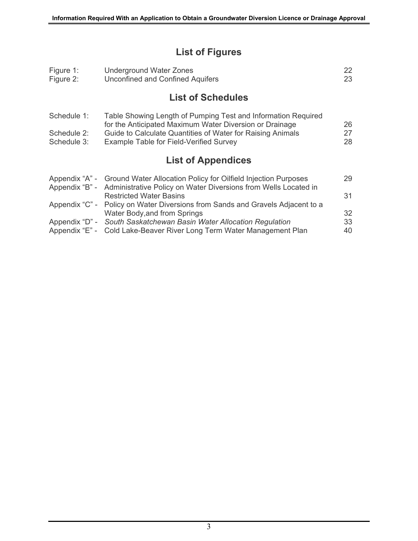## **List of Figures**

| Figure 1:<br>Figure 2:     | <b>Underground Water Zones</b><br><b>Unconfined and Confined Aquifers</b>                                                                                       | 22<br>23 |
|----------------------------|-----------------------------------------------------------------------------------------------------------------------------------------------------------------|----------|
|                            | <b>List of Schedules</b>                                                                                                                                        |          |
| Schedule 1:                | Table Showing Length of Pumping Test and Information Required<br>for the Anticipated Maximum Water Diversion or Drainage                                        | 26       |
| Schedule 2:<br>Schedule 3: | Guide to Calculate Quantities of Water for Raising Animals<br>Example Table for Field-Verified Survey                                                           | 27<br>28 |
|                            | <b>List of Appendices</b>                                                                                                                                       |          |
|                            | Appendix "A" - Ground Water Allocation Policy for Oilfield Injection Purposes<br>Appendix "B" - Administrative Policy on Water Diversions from Wells Located in | 29       |
|                            | <b>Restricted Water Basins</b>                                                                                                                                  | 31       |
| Appendix "C" -             | Policy on Water Diversions from Sands and Gravels Adjacent to a                                                                                                 |          |
|                            | Water Body, and from Springs                                                                                                                                    | 32       |
| Appendix "D" -             | South Saskatchewan Basin Water Allocation Regulation                                                                                                            | 33       |
| Appendix "E" -             | Cold Lake-Beaver River Long Term Water Management Plan                                                                                                          | 40       |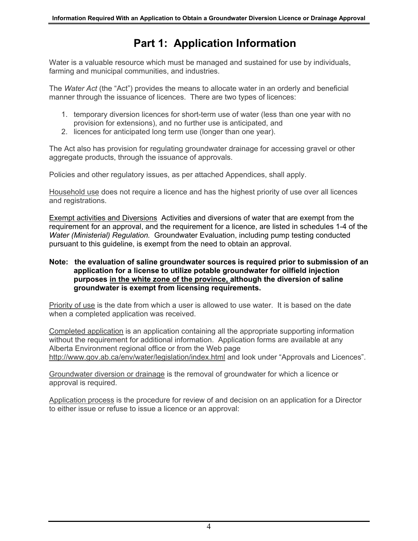## **Part 1: Application Information**

Water is a valuable resource which must be managed and sustained for use by individuals, farming and municipal communities, and industries.

The *Water Act* (the "Act") provides the means to allocate water in an orderly and beneficial manner through the issuance of licences. There are two types of licences:

- 1. temporary diversion licences for short-term use of water (less than one year with no provision for extensions), and no further use is anticipated, and
- 2. licences for anticipated long term use (longer than one year).

The Act also has provision for regulating groundwater drainage for accessing gravel or other aggregate products, through the issuance of approvals.

Policies and other regulatory issues, as per attached Appendices, shall apply.

Household use does not require a licence and has the highest priority of use over all licences and registrations.

Exempt activities and Diversions Activities and diversions of water that are exempt from the requirement for an approval, and the requirement for a licence, are listed in schedules 1-4 of the *Water (Ministerial) Regulation.* Groundwater Evaluation, including pump testing conducted pursuant to this guideline, is exempt from the need to obtain an approval.

#### **Note: the evaluation of saline groundwater sources is required prior to submission of an application for a license to utilize potable groundwater for oilfield injection purposes in the white zone of the province, although the diversion of saline groundwater is exempt from licensing requirements.**

Priority of use is the date from which a user is allowed to use water. It is based on the date when a completed application was received.

Completed application is an application containing all the appropriate supporting information without the requirement for additional information. Application forms are available at any Alberta Environment regional office or from the Web page <http://www.gov.ab.ca/env/water/legislation/index.html> and look under "Approvals and Licences".

Groundwater diversion or drainage is the removal of groundwater for which a licence or approval is required.

Application process is the procedure for review of and decision on an application for a Director to either issue or refuse to issue a licence or an approval: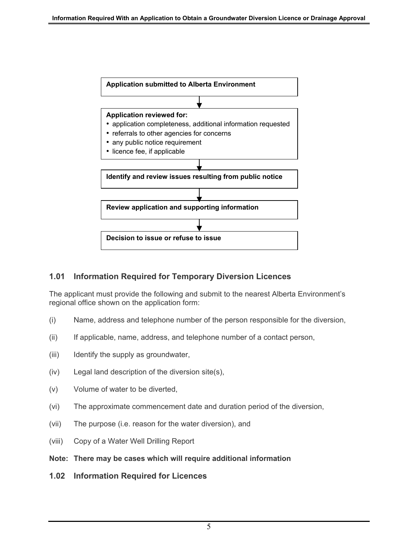

#### **1.01 Information Required for Temporary Diversion Licences**

The applicant must provide the following and submit to the nearest Alberta Environment's regional office shown on the application form:

- (i) Name, address and telephone number of the person responsible for the diversion,
- (ii) If applicable, name, address, and telephone number of a contact person,
- (iii) Identify the supply as groundwater,
- (iv) Legal land description of the diversion site(s),
- (v) Volume of water to be diverted,
- (vi) The approximate commencement date and duration period of the diversion,
- (vii) The purpose (i.e. reason for the water diversion), and
- (viii) Copy of a Water Well Drilling Report
- **Note: There may be cases which will require additional information**
- **1.02 Information Required for Licences**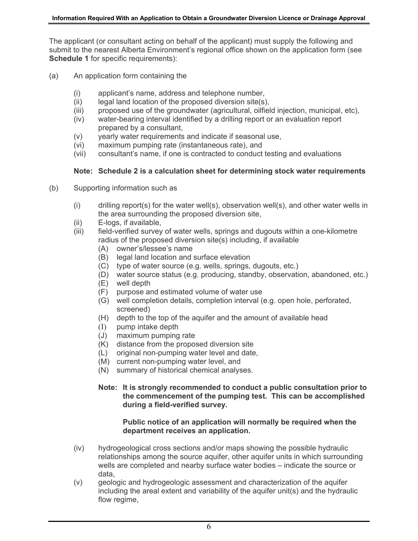The applicant (or consultant acting on behalf of the applicant) must supply the following and submit to the nearest Alberta Environment's regional office shown on the application form (see **Schedule 1** for specific requirements):

- (a) An application form containing the
	- (i) applicant's name, address and telephone number,
	- (ii) legal land location of the proposed diversion site(s),
	- (iii) proposed use of the groundwater (agricultural, oilfield injection, municipal, etc),
	- (iv) water-bearing interval identified by a drilling report or an evaluation report prepared by a consultant,
	- (v) yearly water requirements and indicate if seasonal use,
	- (vi) maximum pumping rate (instantaneous rate), and
	- (vii) consultant's name, if one is contracted to conduct testing and evaluations

#### **Note: Schedule 2 is a calculation sheet for determining stock water requirements**

- (b) Supporting information such as
	- (i) drilling report(s) for the water well(s), observation well(s), and other water wells in the area surrounding the proposed diversion site,
	- (ii) E-logs, if available,
	- (iii) field-verified survey of water wells, springs and dugouts within a one-kilometre radius of the proposed diversion site(s) including, if available
		- (A) owner's/lessee's name
		- (B) legal land location and surface elevation
		- (C) type of water source (e.g. wells, springs, dugouts, etc.)
		- (D) water source status (e.g. producing, standby, observation, abandoned, etc.)
		- (E) well depth
		- (F) purpose and estimated volume of water use
		- (G) well completion details, completion interval (e.g. open hole, perforated, screened)
		- (H) depth to the top of the aquifer and the amount of available head
		- (I) pump intake depth
		- (J) maximum pumping rate
		- (K) distance from the proposed diversion site
		- (L) original non-pumping water level and date,
		- (M) current non-pumping water level, and
		- (N) summary of historical chemical analyses.

#### **Note: It is strongly recommended to conduct a public consultation prior to the commencement of the pumping test. This can be accomplished during a field-verified survey.**

#### **Public notice of an application will normally be required when the department receives an application.**

- (iv) hydrogeological cross sections and/or maps showing the possible hydraulic relationships among the source aquifer, other aquifer units in which surrounding wells are completed and nearby surface water bodies – indicate the source or data,
- (v) geologic and hydrogeologic assessment and characterization of the aquifer including the areal extent and variability of the aquifer unit(s) and the hydraulic flow regime,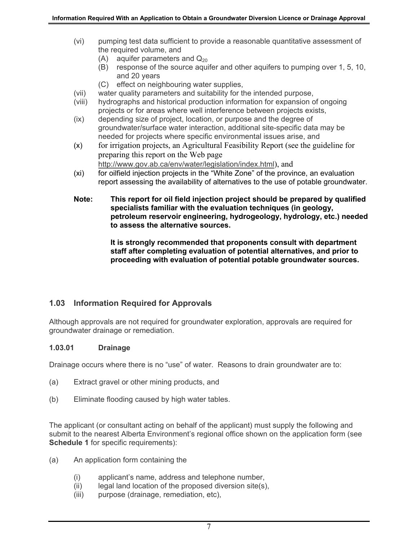- (vi) pumping test data sufficient to provide a reasonable quantitative assessment of the required volume, and
	- (A) aquifer parameters and  $Q_{20}$
	- (B) response of the source aquifer and other aquifers to pumping over 1, 5, 10, and 20 years
	- (C) effect on neighbouring water supplies,
- (vii) water quality parameters and suitability for the intended purpose,
- (viii) hydrographs and historical production information for expansion of ongoing projects or for areas where well interference between projects exists,
- (ix) depending size of project, location, or purpose and the degree of groundwater/surface water interaction, additional site-specific data may be needed for projects where specific environmental issues arise, and
- (x) for irrigation projects, an Agricultural Feasibility Report (see the guideline for preparing this report on the Web page <http://www.gov.ab.ca/env/water/legislation/index.html>), and
- (xi) for oilfield injection projects in the "White Zone" of the province, an evaluation report assessing the availability of alternatives to the use of potable groundwater.
- **Note: This report for oil field injection project should be prepared by qualified specialists familiar with the evaluation techniques (in geology, petroleum reservoir engineering, hydrogeology, hydrology, etc.) needed to assess the alternative sources.**

**It is strongly recommended that proponents consult with department staff after completing evaluation of potential alternatives, and prior to proceeding with evaluation of potential potable groundwater sources.** 

#### **1.03 Information Required for Approvals**

Although approvals are not required for groundwater exploration, approvals are required for groundwater drainage or remediation.

#### **1.03.01 Drainage**

Drainage occurs where there is no "use" of water. Reasons to drain groundwater are to:

- (a) Extract gravel or other mining products, and
- (b) Eliminate flooding caused by high water tables.

The applicant (or consultant acting on behalf of the applicant) must supply the following and submit to the nearest Alberta Environment's regional office shown on the application form (see **Schedule 1** for specific requirements):

- (a) An application form containing the
	- (i) applicant's name, address and telephone number,
	- (ii) legal land location of the proposed diversion site(s),
	- (iii) purpose (drainage, remediation, etc),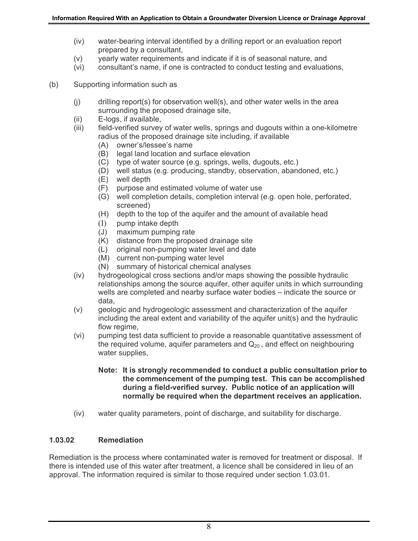- (iv) water-bearing interval identified by a drilling report or an evaluation report prepared by a consultant,
- (v) yearly water requirements and indicate if it is of seasonal nature, and
- (vi) consultant's name, if one is contracted to conduct testing and evaluations,
- (b) Supporting information such as
	- (j) drilling report(s) for observation well(s), and other water wells in the area surrounding the proposed drainage site,
	- (ii) E-logs, if available,
	- (iii) field-verified survey of water wells, springs and dugouts within a one-kilometre radius of the proposed drainage site including, if available
		- (A) owner's/lessee's name
		- (B) legal land location and surface elevation
		- (C) type of water source (e.g. springs, wells, dugouts, etc.)
		- (D) well status (e.g. producing, standby, observation, abandoned, etc.)
		- (E) well depth
		- (F) purpose and estimated volume of water use
		- (G) well completion details, completion interval (e.g. open hole, perforated, screened)
		- (H) depth to the top of the aquifer and the amount of available head
		- (I) pump intake depth
		- (J) maximum pumping rate
		- (K) distance from the proposed drainage site
		- (L) original non-pumping water level and date
		- (M) current non-pumping water level
		- (N) summary of historical chemical analyses
	- (iv) hydrogeological cross sections and/or maps showing the possible hydraulic relationships among the source aquifer, other aquifer units in which surrounding wells are completed and nearby surface water bodies – indicate the source or data,
	- (v) geologic and hydrogeologic assessment and characterization of the aquifer including the areal extent and variability of the aquifer unit(s) and the hydraulic flow regime,
	- (vi) pumping test data sufficient to provide a reasonable quantitative assessment of the required volume, aquifer parameters and  $Q_{20}$ , and effect on neighbouring water supplies,
		- **Note: It is strongly recommended to conduct a public consultation prior to the commencement of the pumping test. This can be accomplished during a field-verified survey. Public notice of an application will normally be required when the department receives an application.**
	- (iv) water quality parameters, point of discharge, and suitability for discharge.

#### **1.03.02 Remediation**

Remediation is the process where contaminated water is removed for treatment or disposal. If there is intended use of this water after treatment, a licence shall be considered in lieu of an approval. The information required is similar to those required under section 1.03.01.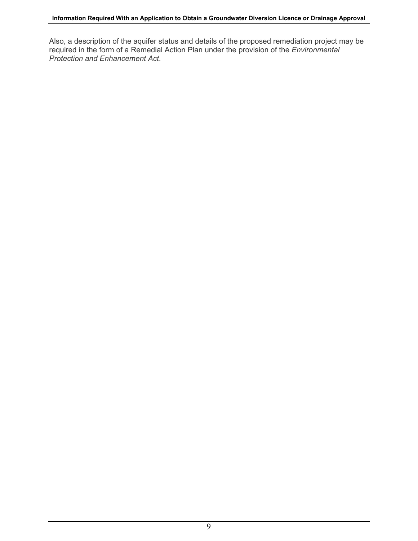Also, a description of the aquifer status and details of the proposed remediation project may be required in the form of a Remedial Action Plan under the provision of the *Environmental Protection and Enhancement Act*.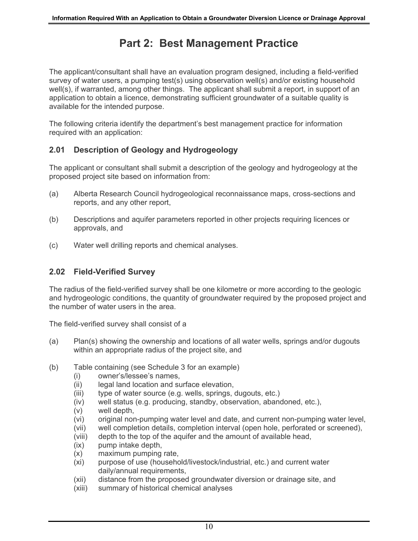## **Part 2: Best Management Practice**

The applicant/consultant shall have an evaluation program designed, including a field-verified survey of water users, a pumping test(s) using observation well(s) and/or existing household well(s), if warranted, among other things. The applicant shall submit a report, in support of an application to obtain a licence, demonstrating sufficient groundwater of a suitable quality is available for the intended purpose.

The following criteria identify the department's best management practice for information required with an application:

#### **2.01 Description of Geology and Hydrogeology**

The applicant or consultant shall submit a description of the geology and hydrogeology at the proposed project site based on information from:

- (a) Alberta Research Council hydrogeological reconnaissance maps, cross-sections and reports, and any other report,
- (b) Descriptions and aquifer parameters reported in other projects requiring licences or approvals, and
- (c) Water well drilling reports and chemical analyses.

#### **2.02 Field-Verified Survey**

The radius of the field-verified survey shall be one kilometre or more according to the geologic and hydrogeologic conditions, the quantity of groundwater required by the proposed project and the number of water users in the area.

The field-verified survey shall consist of a

- (a) Plan(s) showing the ownership and locations of all water wells, springs and/or dugouts within an appropriate radius of the project site, and
- (b) Table containing (see Schedule 3 for an example)
	- (i) owner's/lessee's names,
	- (ii) legal land location and surface elevation,
	- (iii) type of water source (e.g. wells, springs, dugouts, etc.)
	- (iv) well status (e.g. producing, standby, observation, abandoned, etc.),
	- (v) well depth,
	- (vi) original non-pumping water level and date, and current non-pumping water level,
	- (vii) well completion details, completion interval (open hole, perforated or screened),
	- (viii) depth to the top of the aquifer and the amount of available head,
	- (ix) pump intake depth,
	- (x) maximum pumping rate,
	- (xi) purpose of use (household/livestock/industrial, etc.) and current water daily/annual requirements,
	- (xii) distance from the proposed groundwater diversion or drainage site, and
	- (xiii) summary of historical chemical analyses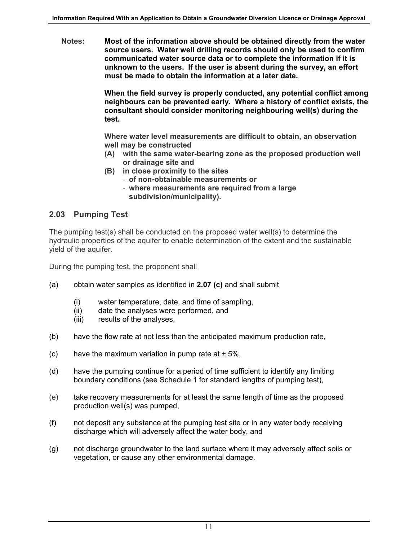**Notes: Most of the information above should be obtained directly from the water source users. Water well drilling records should only be used to confirm communicated water source data or to complete the information if it is unknown to the users. If the user is absent during the survey, an effort must be made to obtain the information at a later date.** 

> **When the field survey is properly conducted, any potential conflict among neighbours can be prevented early. Where a history of conflict exists, the consultant should consider monitoring neighbouring well(s) during the test.**

**Where water level measurements are difficult to obtain, an observation well may be constructed** 

- **(A) with the same water-bearing zone as the proposed production well or drainage site and**
- **(B) in close proximity to the sites** 
	- **of non-obtainable measurements or**
	- **where measurements are required from a large subdivision/municipality).**

#### **2.03 Pumping Test**

The pumping test(s) shall be conducted on the proposed water well(s) to determine the hydraulic properties of the aquifer to enable determination of the extent and the sustainable yield of the aquifer.

During the pumping test, the proponent shall

- (a) obtain water samples as identified in **2.07 (c)** and shall submit
	- (i) water temperature, date, and time of sampling,
	- (ii) date the analyses were performed, and
	- (iii) results of the analyses,
- (b) have the flow rate at not less than the anticipated maximum production rate,
- (c) have the maximum variation in pump rate at  $\pm$  5%,
- (d) have the pumping continue for a period of time sufficient to identify any limiting boundary conditions (see Schedule 1 for standard lengths of pumping test),
- (e) take recovery measurements for at least the same length of time as the proposed production well(s) was pumped,
- (f) not deposit any substance at the pumping test site or in any water body receiving discharge which will adversely affect the water body, and
- (g) not discharge groundwater to the land surface where it may adversely affect soils or vegetation, or cause any other environmental damage.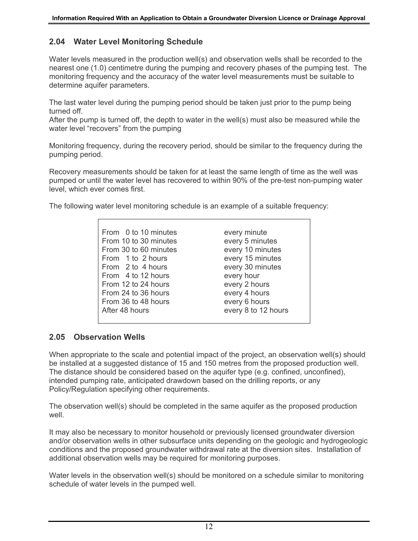#### **2.04 Water Level Monitoring Schedule**

Water levels measured in the production well(s) and observation wells shall be recorded to the nearest one (1.0) centimetre during the pumping and recovery phases of the pumping test. The monitoring frequency and the accuracy of the water level measurements must be suitable to determine aquifer parameters.

The last water level during the pumping period should be taken just prior to the pump being turned off.

After the pump is turned off, the depth to water in the well(s) must also be measured while the water level "recovers" from the pumping

Monitoring frequency, during the recovery period, should be similar to the frequency during the pumping period.

Recovery measurements should be taken for at least the same length of time as the well was pumped or until the water level has recovered to within 90% of the pre-test non-pumping water level, which ever comes first.

The following water level monitoring schedule is an example of a suitable frequency:

| From 0 to 10 minutes  | every minute        |
|-----------------------|---------------------|
| From 10 to 30 minutes | every 5 minutes     |
| From 30 to 60 minutes | every 10 minutes    |
| From 1 to 2 hours     | every 15 minutes    |
| From 2 to 4 hours     | every 30 minutes    |
| From 4 to 12 hours    | every hour          |
| From 12 to 24 hours   | every 2 hours       |
| From 24 to 36 hours   | every 4 hours       |
| From 36 to 48 hours   | every 6 hours       |
| After 48 hours        | every 8 to 12 hours |
|                       |                     |

#### **2.05 Observation Wells**

When appropriate to the scale and potential impact of the project, an observation well(s) should be installed at a suggested distance of 15 and 150 metres from the proposed production well. The distance should be considered based on the aquifer type (e.g. confined, unconfined), intended pumping rate, anticipated drawdown based on the drilling reports, or any Policy/Regulation specifying other requirements.

The observation well(s) should be completed in the same aquifer as the proposed production well.

It may also be necessary to monitor household or previously licensed groundwater diversion and/or observation wells in other subsurface units depending on the geologic and hydrogeologic conditions and the proposed groundwater withdrawal rate at the diversion sites. Installation of additional observation wells may be required for monitoring purposes.

Water levels in the observation well(s) should be monitored on a schedule similar to monitoring schedule of water levels in the pumped well.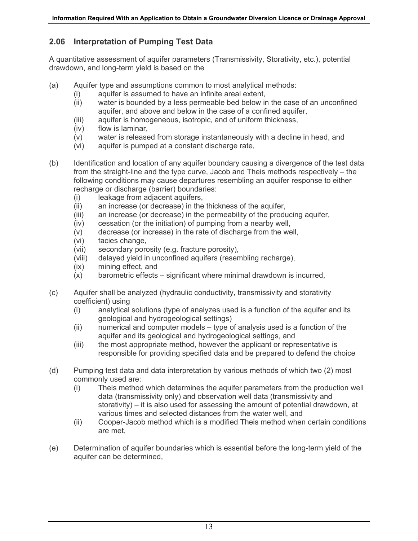#### **2.06 Interpretation of Pumping Test Data**

A quantitative assessment of aquifer parameters (Transmissivity, Storativity, etc.), potential drawdown, and long-term yield is based on the

- (a) Aquifer type and assumptions common to most analytical methods:
	- (i) aquifer is assumed to have an infinite areal extent,
	- (ii) water is bounded by a less permeable bed below in the case of an unconfined aquifer, and above and below in the case of a confined aquifer,
	- (iii) aquifer is homogeneous, isotropic, and of uniform thickness,
	- (iv) flow is laminar,
	- (v) water is released from storage instantaneously with a decline in head, and
	- (vi) aquifer is pumped at a constant discharge rate,
- (b) Identification and location of any aquifer boundary causing a divergence of the test data from the straight-line and the type curve, Jacob and Theis methods respectively – the following conditions may cause departures resembling an aquifer response to either recharge or discharge (barrier) boundaries:
	- (i) leakage from adjacent aquifers,
	- (ii) an increase (or decrease) in the thickness of the aquifer,
	- (iii) an increase (or decrease) in the permeability of the producing aquifer,
	- (iv) cessation (or the initiation) of pumping from a nearby well,
	- (v) decrease (or increase) in the rate of discharge from the well,
	- (vi) facies change,
	- (vii) secondary porosity (e.g. fracture porosity),
	- (viii) delayed yield in unconfined aquifers (resembling recharge),
	- (ix) mining effect, and
	- (x) barometric effects significant where minimal drawdown is incurred,
- (c) Aquifer shall be analyzed (hydraulic conductivity, transmissivity and storativity coefficient) using
	- (i) analytical solutions (type of analyzes used is a function of the aquifer and its geological and hydrogeological settings)
	- (ii) numerical and computer models type of analysis used is a function of the aquifer and its geological and hydrogeological settings, and
	- (iii) the most appropriate method, however the applicant or representative is responsible for providing specified data and be prepared to defend the choice
- (d) Pumping test data and data interpretation by various methods of which two (2) most commonly used are:
	- (i) Theis method which determines the aquifer parameters from the production well data (transmissivity only) and observation well data (transmissivity and storativity) – it is also used for assessing the amount of potential drawdown, at various times and selected distances from the water well, and
	- (ii) Cooper-Jacob method which is a modified Theis method when certain conditions are met,
- (e) Determination of aquifer boundaries which is essential before the long-term yield of the aquifer can be determined,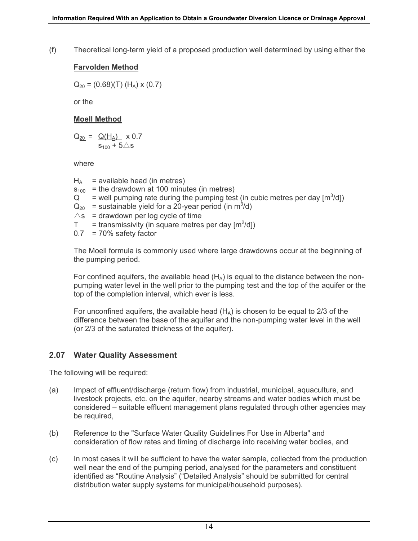(f) Theoretical long-term yield of a proposed production well determined by using either the

#### **Farvolden Method**

 $Q_{20} = (0.68)(T)$  (H<sub>A</sub>) x (0.7)

or the

#### **Moell Method**

 $Q_{20} = Q(H_A) \times 0.7$  $s_{100} + 5\triangle s$ 

where

 $H_A$  = available head (in metres)  $s<sub>100</sub>$  = the drawdown at 100 minutes (in metres) Q = well pumping rate during the pumping test (in cubic metres per day  $[m^3/d]$ )  $Q_{20}$  = sustainable yield for a 20-year period (in m<sup>3</sup>/d)  $\triangle$ s = drawdown per log cycle of time  $T =$  transmissivity (in square metres per day  $[m^2/d])$  $0.7 = 70\%$  safety factor

The Moell formula is commonly used where large drawdowns occur at the beginning of the pumping period.

For confined aquifers, the available head  $(H_A)$  is equal to the distance between the nonpumping water level in the well prior to the pumping test and the top of the aquifer or the top of the completion interval, which ever is less.

For unconfined aquifers, the available head  $(H_A)$  is chosen to be equal to 2/3 of the difference between the base of the aquifer and the non-pumping water level in the well (or 2/3 of the saturated thickness of the aquifer).

#### **2.07 Water Quality Assessment**

The following will be required:

- (a) Impact of effluent/discharge (return flow) from industrial, municipal, aquaculture, and livestock projects, etc. on the aquifer, nearby streams and water bodies which must be considered – suitable effluent management plans regulated through other agencies may be required,
- (b) Reference to the "Surface Water Quality Guidelines For Use in Alberta" and consideration of flow rates and timing of discharge into receiving water bodies, and
- (c) In most cases it will be sufficient to have the water sample, collected from the production well near the end of the pumping period, analysed for the parameters and constituent identified as "Routine Analysis" ("Detailed Analysis" should be submitted for central distribution water supply systems for municipal/household purposes).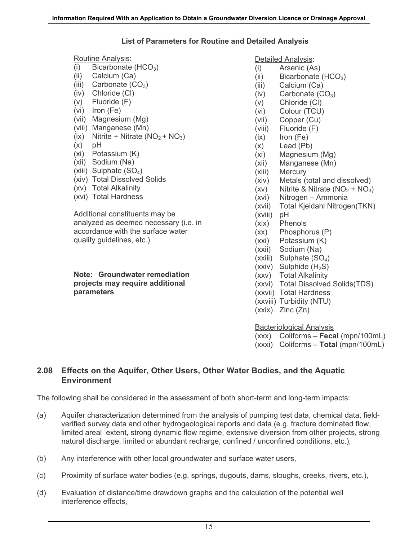#### **List of Parameters for Routine and Detailed Analysis**

Routine Analysis:

- (i) Bicarbonate  $(HCO<sub>3</sub>)$
- (ii) Calcium (Ca)
- (iii) Carbonate  $(CO_3)$
- (iv) Chloride (Cl)
- (v) Fluoride (F)
- (vi) Iron (Fe)
- (vii) Magnesium (Mg)
- (viii) Manganese (Mn)
- (ix) Nitrite + Nitrate  $(NO<sub>2</sub> + NO<sub>3</sub>)$
- $(x)$  pH
- (xi) Potassium (K)
- (xii) Sodium (Na)
- (xiii) Sulphate  $(SO_4)$
- (xiv) Total Dissolved Solids
- (xv) Total Alkalinity
- (xvi) Total Hardness

Additional constituents may be analyzed as deemed necessary (i.e. in accordance with the surface water quality guidelines, etc.).

**Note: Groundwater remediation projects may require additional parameters**

Detailed Analysis:

- (i) Arsenic (As)
- (ii) Bicarbonate  $(HCO<sub>3</sub>)$
- (iii) Calcium (Ca)
- $(iv)$  Carbonate  $(CO_3)$
- (v) Chloride (Cl)
- (vi) Colour (TCU)
- (vii) Copper (Cu)
- (viii) Fluoride (F)
- (ix) Iron (Fe)
- (x) Lead (Pb)
- (xi) Magnesium (Mg)
- (xii) Manganese (Mn)
- (xiii) Mercury
- (xiv) Metals (total and dissolved)
- (xv) Nitrite & Nitrate  $(NO<sub>2</sub> + NO<sub>3</sub>)$
- (xvi) Nitrogen Ammonia
- (xvii) Total Kjeldahl Nitrogen(TKN)
- (xviii) pH
- (xix) Phenols
- (xx) Phosphorus (P)
- (xxi) Potassium (K)
- (xxii) Sodium (Na)
- $(xxiii)$  Sulphate  $(SO<sub>4</sub>)$
- $(xxiv)$  Sulphide  $(H_2S)$
- (xxv) Total Alkalinity
- (xxvi) Total Dissolved Solids(TDS)
- (xxvii) Total Hardness
- (xxviii) Turbidity (NTU)
- (xxix) Zinc (Zn)

Bacteriological Analysis

- (xxx) Coliforms **Fecal** (mpn/100mL)
- (xxxi) Coliforms **Total** (mpn/100mL)

#### **2.08 Effects on the Aquifer, Other Users, Other Water Bodies, and the Aquatic Environment**

The following shall be considered in the assessment of both short-term and long-term impacts:

- (a) Aquifer characterization determined from the analysis of pumping test data, chemical data, fieldverified survey data and other hydrogeological reports and data (e.g. fracture dominated flow, limited areal extent, strong dynamic flow regime, extensive diversion from other projects, strong natural discharge, limited or abundant recharge, confined / unconfined conditions, etc.),
- (b) Any interference with other local groundwater and surface water users,
- (c) Proximity of surface water bodies (e.g. springs, dugouts, dams, sloughs, creeks, rivers, etc.),
- (d) Evaluation of distance/time drawdown graphs and the calculation of the potential well interference effects,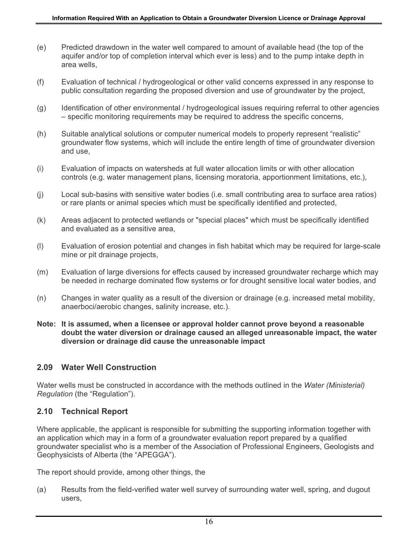- (e) Predicted drawdown in the water well compared to amount of available head (the top of the aquifer and/or top of completion interval which ever is less) and to the pump intake depth in area wells,
- (f) Evaluation of technical / hydrogeological or other valid concerns expressed in any response to public consultation regarding the proposed diversion and use of groundwater by the project,
- (g) Identification of other environmental / hydrogeological issues requiring referral to other agencies – specific monitoring requirements may be required to address the specific concerns,
- (h) Suitable analytical solutions or computer numerical models to properly represent "realistic" groundwater flow systems, which will include the entire length of time of groundwater diversion and use,
- (i) Evaluation of impacts on watersheds at full water allocation limits or with other allocation controls (e.g. water management plans, licensing moratoria, apportionment limitations, etc.),
- (j) Local sub-basins with sensitive water bodies (i.e. small contributing area to surface area ratios) or rare plants or animal species which must be specifically identified and protected,
- (k) Areas adjacent to protected wetlands or "special places" which must be specifically identified and evaluated as a sensitive area,
- (l) Evaluation of erosion potential and changes in fish habitat which may be required for large-scale mine or pit drainage projects,
- (m) Evaluation of large diversions for effects caused by increased groundwater recharge which may be needed in recharge dominated flow systems or for drought sensitive local water bodies, and
- (n) Changes in water quality as a result of the diversion or drainage (e.g. increased metal mobility, anaerboci/aerobic changes, salinity increase, etc.).
- **Note: It is assumed, when a licensee or approval holder cannot prove beyond a reasonable doubt the water diversion or drainage caused an alleged unreasonable impact, the water diversion or drainage did cause the unreasonable impact**

#### **2.09 Water Well Construction**

Water wells must be constructed in accordance with the methods outlined in the *Water (Ministerial) Regulation* (the "Regulation").

#### **2.10 Technical Report**

Where applicable, the applicant is responsible for submitting the supporting information together with an application which may in a form of a groundwater evaluation report prepared by a qualified groundwater specialist who is a member of the Association of Professional Engineers, Geologists and Geophysicists of Alberta (the "APEGGA").

The report should provide, among other things, the

(a) Results from the field-verified water well survey of surrounding water well, spring, and dugout users,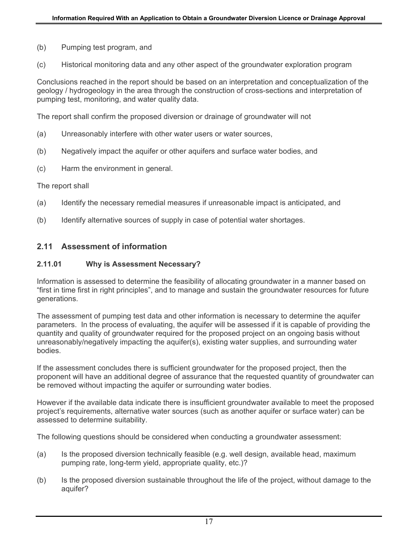- (b) Pumping test program, and
- (c) Historical monitoring data and any other aspect of the groundwater exploration program

Conclusions reached in the report should be based on an interpretation and conceptualization of the geology / hydrogeology in the area through the construction of cross-sections and interpretation of pumping test, monitoring, and water quality data.

The report shall confirm the proposed diversion or drainage of groundwater will not

- (a) Unreasonably interfere with other water users or water sources,
- (b) Negatively impact the aquifer or other aquifers and surface water bodies, and
- (c) Harm the environment in general.

#### The report shall

- (a) Identify the necessary remedial measures if unreasonable impact is anticipated, and
- (b) Identify alternative sources of supply in case of potential water shortages.

#### **2.11 Assessment of information**

#### **2.11.01 Why is Assessment Necessary?**

Information is assessed to determine the feasibility of allocating groundwater in a manner based on "first in time first in right principles", and to manage and sustain the groundwater resources for future generations.

The assessment of pumping test data and other information is necessary to determine the aquifer parameters. In the process of evaluating, the aquifer will be assessed if it is capable of providing the quantity and quality of groundwater required for the proposed project on an ongoing basis without unreasonably/negatively impacting the aquifer(s), existing water supplies, and surrounding water bodies.

If the assessment concludes there is sufficient groundwater for the proposed project, then the proponent will have an additional degree of assurance that the requested quantity of groundwater can be removed without impacting the aquifer or surrounding water bodies.

However if the available data indicate there is insufficient groundwater available to meet the proposed project's requirements, alternative water sources (such as another aquifer or surface water) can be assessed to determine suitability.

The following questions should be considered when conducting a groundwater assessment:

- (a) Is the proposed diversion technically feasible (e.g. well design, available head, maximum pumping rate, long-term yield, appropriate quality, etc.)?
- (b) Is the proposed diversion sustainable throughout the life of the project, without damage to the aquifer?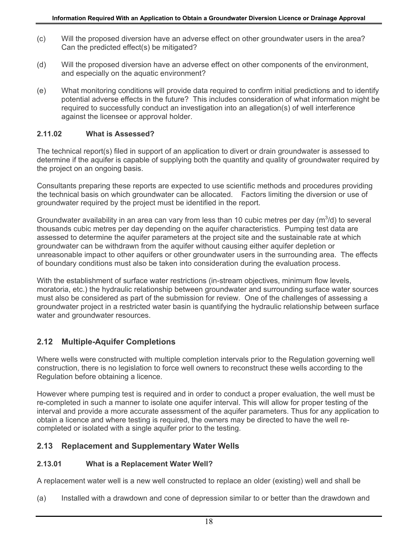- (c) Will the proposed diversion have an adverse effect on other groundwater users in the area? Can the predicted effect(s) be mitigated?
- (d) Will the proposed diversion have an adverse effect on other components of the environment, and especially on the aquatic environment?
- (e) What monitoring conditions will provide data required to confirm initial predictions and to identify potential adverse effects in the future? This includes consideration of what information might be required to successfully conduct an investigation into an allegation(s) of well interference against the licensee or approval holder.

#### **2.11.02 What is Assessed?**

The technical report(s) filed in support of an application to divert or drain groundwater is assessed to determine if the aquifer is capable of supplying both the quantity and quality of groundwater required by the project on an ongoing basis.

Consultants preparing these reports are expected to use scientific methods and procedures providing the technical basis on which groundwater can be allocated. Factors limiting the diversion or use of groundwater required by the project must be identified in the report.

Groundwater availability in an area can vary from less than 10 cubic metres per day ( $m^3/d$ ) to several thousands cubic metres per day depending on the aquifer characteristics. Pumping test data are assessed to determine the aquifer parameters at the project site and the sustainable rate at which groundwater can be withdrawn from the aquifer without causing either aquifer depletion or unreasonable impact to other aquifers or other groundwater users in the surrounding area. The effects of boundary conditions must also be taken into consideration during the evaluation process.

With the establishment of surface water restrictions (in-stream objectives, minimum flow levels, moratoria, etc.) the hydraulic relationship between groundwater and surrounding surface water sources must also be considered as part of the submission for review. One of the challenges of assessing a groundwater project in a restricted water basin is quantifying the hydraulic relationship between surface water and groundwater resources.

#### **2.12 Multiple-Aquifer Completions**

Where wells were constructed with multiple completion intervals prior to the Regulation governing well construction, there is no legislation to force well owners to reconstruct these wells according to the Regulation before obtaining a licence.

However where pumping test is required and in order to conduct a proper evaluation, the well must be re-completed in such a manner to isolate one aquifer interval. This will allow for proper testing of the interval and provide a more accurate assessment of the aquifer parameters. Thus for any application to obtain a licence and where testing is required, the owners may be directed to have the well recompleted or isolated with a single aquifer prior to the testing.

#### **2.13 Replacement and Supplementary Water Wells**

#### **2.13.01 What is a Replacement Water Well?**

A replacement water well is a new well constructed to replace an older (existing) well and shall be

(a) Installed with a drawdown and cone of depression similar to or better than the drawdown and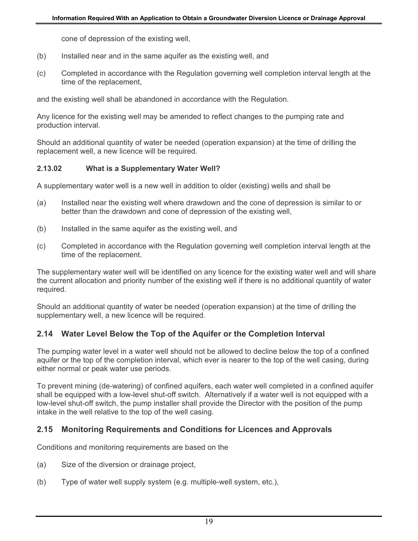cone of depression of the existing well,

- (b) Installed near and in the same aquifer as the existing well, and
- (c) Completed in accordance with the Regulation governing well completion interval length at the time of the replacement,

and the existing well shall be abandoned in accordance with the Regulation.

Any licence for the existing well may be amended to reflect changes to the pumping rate and production interval.

Should an additional quantity of water be needed (operation expansion) at the time of drilling the replacement well, a new licence will be required.

#### **2.13.02 What is a Supplementary Water Well?**

A supplementary water well is a new well in addition to older (existing) wells and shall be

- (a) Installed near the existing well where drawdown and the cone of depression is similar to or better than the drawdown and cone of depression of the existing well,
- (b) Installed in the same aquifer as the existing well, and
- (c) Completed in accordance with the Regulation governing well completion interval length at the time of the replacement.

The supplementary water well will be identified on any licence for the existing water well and will share the current allocation and priority number of the existing well if there is no additional quantity of water required.

Should an additional quantity of water be needed (operation expansion) at the time of drilling the supplementary well, a new licence will be required.

#### **2.14 Water Level Below the Top of the Aquifer or the Completion Interval**

The pumping water level in a water well should not be allowed to decline below the top of a confined aquifer or the top of the completion interval, which ever is nearer to the top of the well casing, during either normal or peak water use periods.

To prevent mining (de-watering) of confined aquifers, each water well completed in a confined aquifer shall be equipped with a low-level shut-off switch. Alternatively if a water well is not equipped with a low-level shut-off switch, the pump installer shall provide the Director with the position of the pump intake in the well relative to the top of the well casing.

#### **2.15 Monitoring Requirements and Conditions for Licences and Approvals**

Conditions and monitoring requirements are based on the

- (a) Size of the diversion or drainage project,
- (b) Type of water well supply system (e.g. multiple-well system, etc.),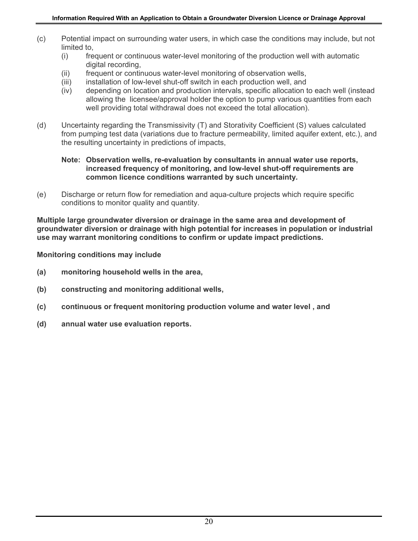- (c) Potential impact on surrounding water users, in which case the conditions may include, but not limited to,
	- (i) frequent or continuous water-level monitoring of the production well with automatic digital recording,
	- (ii) frequent or continuous water-level monitoring of observation wells,
	- (iii) installation of low-level shut-off switch in each production well, and
	- (iv) depending on location and production intervals, specific allocation to each well (instead allowing the licensee/approval holder the option to pump various quantities from each well providing total withdrawal does not exceed the total allocation).
- (d) Uncertainty regarding the Transmissivity (T) and Storativity Coefficient (S) values calculated from pumping test data (variations due to fracture permeability, limited aquifer extent, etc.), and the resulting uncertainty in predictions of impacts,

#### **Note: Observation wells, re-evaluation by consultants in annual water use reports, increased frequency of monitoring, and low-level shut-off requirements are common licence conditions warranted by such uncertainty***.*

(e) Discharge or return flow for remediation and aqua-culture projects which require specific conditions to monitor quality and quantity.

**Multiple large groundwater diversion or drainage in the same area and development of groundwater diversion or drainage with high potential for increases in population or industrial use may warrant monitoring conditions to confirm or update impact predictions.** 

**Monitoring conditions may include** 

- **(a) monitoring household wells in the area,**
- **(b) constructing and monitoring additional wells,**
- **(c) continuous or frequent monitoring production volume and water level , and**
- **(d) annual water use evaluation reports.**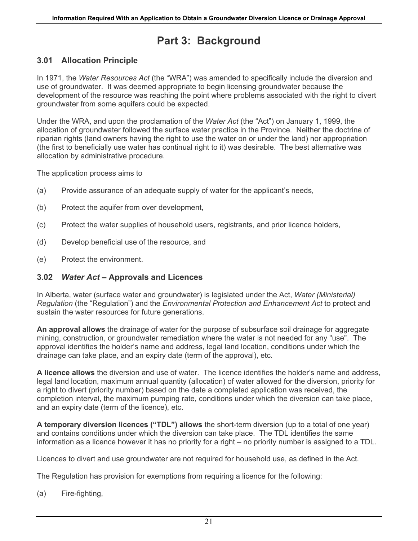## **Part 3: Background**

#### **3.01 Allocation Principle**

In 1971, the *Water Resources Act* (the "WRA") was amended to specifically include the diversion and use of groundwater. It was deemed appropriate to begin licensing groundwater because the development of the resource was reaching the point where problems associated with the right to divert groundwater from some aquifers could be expected.

Under the WRA, and upon the proclamation of the *Water Act* (the "Act") on January 1, 1999, the allocation of groundwater followed the surface water practice in the Province. Neither the doctrine of riparian rights (land owners having the right to use the water on or under the land) nor appropriation (the first to beneficially use water has continual right to it) was desirable. The best alternative was allocation by administrative procedure.

The application process aims to

- (a) Provide assurance of an adequate supply of water for the applicant's needs,
- (b) Protect the aquifer from over development.
- (c) Protect the water supplies of household users, registrants, and prior licence holders,
- (d) Develop beneficial use of the resource, and
- (e) Protect the environment.

#### **3.02** *Water Act* **– Approvals and Licences**

In Alberta, water (surface water and groundwater) is legislated under the Act, *Water (Ministerial) Regulation* (the "Regulation") and the *Environmental Protection and Enhancement Act* to protect and sustain the water resources for future generations.

**An approval allows** the drainage of water for the purpose of subsurface soil drainage for aggregate mining, construction, or groundwater remediation where the water is not needed for any "use". The approval identifies the holder's name and address, legal land location, conditions under which the drainage can take place, and an expiry date (term of the approval), etc.

**A licence allows** the diversion and use of water. The licence identifies the holder's name and address, legal land location, maximum annual quantity (allocation) of water allowed for the diversion, priority for a right to divert (priority number) based on the date a completed application was received, the completion interval, the maximum pumping rate, conditions under which the diversion can take place, and an expiry date (term of the licence), etc.

**A temporary diversion licences ("TDL") allows** the short-term diversion (up to a total of one year) and contains conditions under which the diversion can take place. The TDL identifies the same information as a licence however it has no priority for a right – no priority number is assigned to a TDL.

Licences to divert and use groundwater are not required for household use, as defined in the Act.

The Regulation has provision for exemptions from requiring a licence for the following:

(a) Fire-fighting,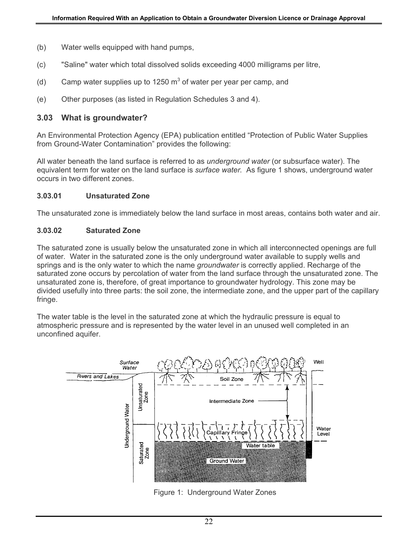- (b) Water wells equipped with hand pumps,
- (c) "Saline" water which total dissolved solids exceeding 4000 milligrams per litre,
- (d) Camp water supplies up to 1250  $\text{m}^3$  of water per year per camp, and
- (e) Other purposes (as listed in Regulation Schedules 3 and 4).

#### **3.03 What is groundwater?**

An Environmental Protection Agency (EPA) publication entitled "Protection of Public Water Supplies from Ground-Water Contamination" provides the following:

All water beneath the land surface is referred to as *underground water* (or subsurface water). The equivalent term for water on the land surface is *surface water.* As figure 1 shows, underground water occurs in two different zones.

#### **3.03.01 Unsaturated Zone**

The unsaturated zone is immediately below the land surface in most areas, contains both water and air.

#### **3.03.02 Saturated Zone**

The saturated zone is usually below the unsaturated zone in which all interconnected openings are full of water*.* Water in the saturated zone is the only underground water available to supply wells and springs and is the only water to which the name *groundwater* is correctly applied. Recharge of the saturated zone occurs by percolation of water from the land surface through the unsaturated zone. The unsaturated zone is, therefore, of great importance to groundwater hydrology. This zone may be divided usefully into three parts: the soil zone, the intermediate zone, and the upper part of the capillary fringe.

The water table is the level in the saturated zone at which the hydraulic pressure is equal to atmospheric pressure and is represented by the water level in an unused well completed in an unconfined aquifer.



Figure 1: Underground Water Zones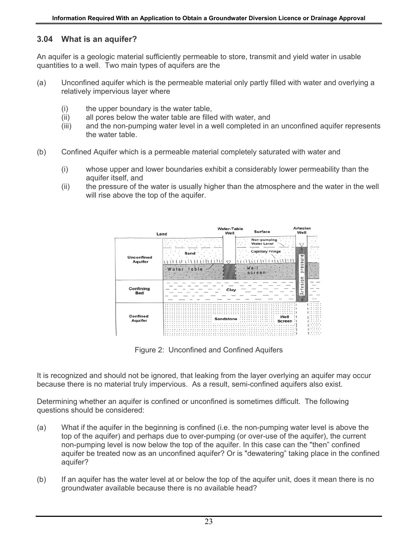#### **3.04 What is an aquifer?**

An aquifer is a geologic material sufficiently permeable to store, transmit and yield water in usable quantities to a well. Two main types of aquifers are the

- (a) Unconfined aquifer which is the permeable material only partly filled with water and overlying a relatively impervious layer where
	- (i) the upper boundary is the water table,
	- (ii) all pores below the water table are filled with water, and
	- (iii) and the non-pumping water level in a well completed in an unconfined aquifer represents the water table.
- (b) Confined Aquifer which is a permeable material completely saturated with water and
	- (i) whose upper and lower boundaries exhibit a considerably lower permeability than the aquifer itself, and
	- (ii) the pressure of the water is usually higher than the atmosphere and the water in the well will rise above the top of the aquifer.



Figure 2: Unconfined and Confined Aquifers

It is recognized and should not be ignored, that leaking from the layer overlying an aquifer may occur because there is no material truly impervious. As a result, semi-confined aquifers also exist.

Determining whether an aquifer is confined or unconfined is sometimes difficult. The following questions should be considered:

- (a) What if the aquifer in the beginning is confined (i.e. the non-pumping water level is above the top of the aquifer) and perhaps due to over-pumping (or over-use of the aquifer), the current non-pumping level is now below the top of the aquifer. In this case can the "then" confined aquifer be treated now as an unconfined aquifer? Or is "dewatering" taking place in the confined aquifer?
- (b) If an aquifer has the water level at or below the top of the aquifer unit, does it mean there is no groundwater available because there is no available head?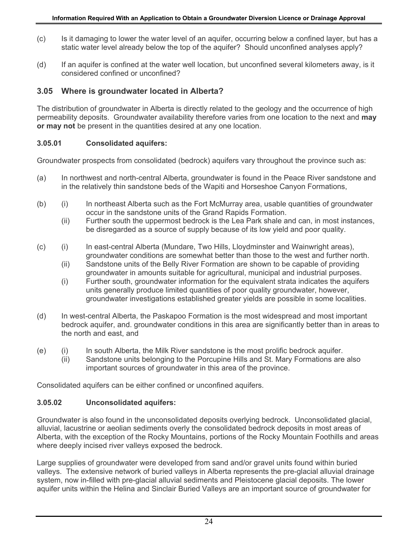- (c) Is it damaging to lower the water level of an aquifer, occurring below a confined layer, but has a static water level already below the top of the aquifer? Should unconfined analyses apply?
- (d) If an aquifer is confined at the water well location, but unconfined several kilometers away, is it considered confined or unconfined?

#### **3.05 Where is groundwater located in Alberta?**

The distribution of groundwater in Alberta is directly related to the geology and the occurrence of high permeability deposits. Groundwater availability therefore varies from one location to the next and **may or may not** be present in the quantities desired at any one location.

#### **3.05.01 Consolidated aquifers:**

Groundwater prospects from consolidated (bedrock) aquifers vary throughout the province such as:

- (a) In northwest and north-central Alberta, groundwater is found in the Peace River sandstone and in the relatively thin sandstone beds of the Wapiti and Horseshoe Canyon Formations,
- (b) (i) In northeast Alberta such as the Fort McMurray area, usable quantities of groundwater occur in the sandstone units of the Grand Rapids Formation.
	- (ii) Further south the uppermost bedrock is the Lea Park shale and can, in most instances, be disregarded as a source of supply because of its low yield and poor quality.
- (c) (i) In east-central Alberta (Mundare, Two Hills, Lloydminster and Wainwright areas), groundwater conditions are somewhat better than those to the west and further north.
	- (ii) Sandstone units of the Belly River Formation are shown to be capable of providing groundwater in amounts suitable for agricultural, municipal and industrial purposes.
	- (i) Further south, groundwater information for the equivalent strata indicates the aquifers units generally produce limited quantities of poor quality groundwater, however, groundwater investigations established greater yields are possible in some localities.
- (d) In west-central Alberta, the Paskapoo Formation is the most widespread and most important bedrock aquifer, and. groundwater conditions in this area are significantly better than in areas to the north and east, and
- (e) (i) In south Alberta, the Milk River sandstone is the most prolific bedrock aquifer.
	- (ii) Sandstone units belonging to the Porcupine Hills and St. Mary Formations are also important sources of groundwater in this area of the province.

Consolidated aquifers can be either confined or unconfined aquifers.

#### **3.05.02 Unconsolidated aquifers:**

Groundwater is also found in the unconsolidated deposits overlying bedrock. Unconsolidated glacial, alluvial, lacustrine or aeolian sediments overly the consolidated bedrock deposits in most areas of Alberta, with the exception of the Rocky Mountains, portions of the Rocky Mountain Foothills and areas where deeply incised river valleys exposed the bedrock.

Large supplies of groundwater were developed from sand and/or gravel units found within buried valleys. The extensive network of buried valleys in Alberta represents the pre-glacial alluvial drainage system, now in-filled with pre-glacial alluvial sediments and Pleistocene glacial deposits. The lower aquifer units within the Helina and Sinclair Buried Valleys are an important source of groundwater for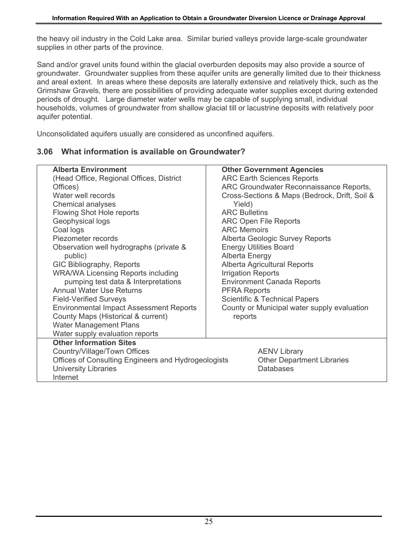the heavy oil industry in the Cold Lake area. Similar buried valleys provide large-scale groundwater supplies in other parts of the province.

Sand and/or gravel units found within the glacial overburden deposits may also provide a source of groundwater. Groundwater supplies from these aquifer units are generally limited due to their thickness and areal extent. In areas where these deposits are laterally extensive and relatively thick, such as the Grimshaw Gravels, there are possibilities of providing adequate water supplies except during extended periods of drought. Large diameter water wells may be capable of supplying small, individual households, volumes of groundwater from shallow glacial till or lacustrine deposits with relatively poor aquifer potential.

Unconsolidated aquifers usually are considered as unconfined aquifers.

#### **3.06 What information is available on Groundwater?**

| <b>Alberta Environment</b><br>(Head Office, Regional Offices, District<br>Offices)<br>Water well records<br>Chemical analyses<br>Flowing Shot Hole reports<br>Geophysical logs<br>Coal logs<br>Piezometer records<br>Observation well hydrographs (private &<br>public)<br>GIC Bibliography, Reports<br><b>WRA/WA Licensing Reports including</b><br>pumping test data & Interpretations<br><b>Annual Water Use Returns</b><br><b>Field-Verified Surveys</b><br><b>Environmental Impact Assessment Reports</b><br>County Maps (Historical & current)<br><b>Water Management Plans</b><br>Water supply evaluation reports | <b>Other Government Agencies</b><br><b>ARC Earth Sciences Reports</b><br>ARC Groundwater Reconnaissance Reports,<br>Cross-Sections & Maps (Bedrock, Drift, Soil &<br>Yield)<br><b>ARC Bulletins</b><br><b>ARC Open File Reports</b><br><b>ARC Memoirs</b><br>Alberta Geologic Survey Reports<br><b>Energy Utilities Board</b><br><b>Alberta Energy</b><br>Alberta Agricultural Reports<br><b>Irrigation Reports</b><br><b>Environment Canada Reports</b><br><b>PFRA Reports</b><br><b>Scientific &amp; Technical Papers</b><br>County or Municipal water supply evaluation<br>reports |
|--------------------------------------------------------------------------------------------------------------------------------------------------------------------------------------------------------------------------------------------------------------------------------------------------------------------------------------------------------------------------------------------------------------------------------------------------------------------------------------------------------------------------------------------------------------------------------------------------------------------------|---------------------------------------------------------------------------------------------------------------------------------------------------------------------------------------------------------------------------------------------------------------------------------------------------------------------------------------------------------------------------------------------------------------------------------------------------------------------------------------------------------------------------------------------------------------------------------------|
| <b>Other Information Sites</b><br>Country/Village/Town Offices<br>Offices of Consulting Engineers and Hydrogeologists<br><b>University Libraries</b><br>Internet                                                                                                                                                                                                                                                                                                                                                                                                                                                         | <b>AENV Library</b><br><b>Other Department Libraries</b><br><b>Databases</b>                                                                                                                                                                                                                                                                                                                                                                                                                                                                                                          |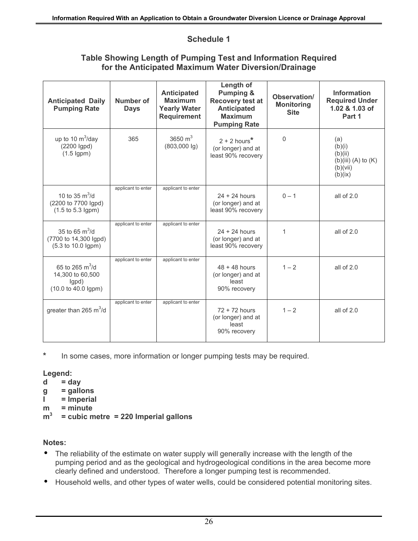#### **Schedule 1**

#### **Table Showing Length of Pumping Test and Information Required for the Anticipated Maximum Water Diversion/Drainage**

| <b>Anticipated Daily</b><br><b>Pumping Rate</b>                                               | Number of<br><b>Days</b> | <b>Anticipated</b><br><b>Maximum</b><br><b>Yearly Water</b><br><b>Requirement</b> | Length of<br><b>Pumping &amp;</b><br><b>Recovery test at</b><br><b>Anticipated</b><br><b>Maximum</b><br><b>Pumping Rate</b> | Observation/<br><b>Monitoring</b><br><b>Site</b> | <b>Information</b><br><b>Required Under</b><br>1.02 & 1.03 of<br>Part 1      |
|-----------------------------------------------------------------------------------------------|--------------------------|-----------------------------------------------------------------------------------|-----------------------------------------------------------------------------------------------------------------------------|--------------------------------------------------|------------------------------------------------------------------------------|
| up to 10 $\text{m}^3$ /day<br>(2200 Igpd)<br>$(1.5$ lgpm $)$                                  | 365                      | 3650 $m3$<br>$(803,000 \lg)$                                                      | $2 + 2$ hours <sup>*</sup><br>(or longer) and at<br>least 90% recovery                                                      | $\Omega$                                         | (a)<br>(b)(i)<br>(b)(ii)<br>$(b)(iii)$ $(A)$ to $(K)$<br>(b)(vii)<br>(b)(ix) |
| 10 to 35 $\text{m}^3/\text{d}$<br>(2200 to 7700 lgpd)<br>$(1.5 \text{ to } 5.3 \text{ lgpm})$ | applicant to enter       | applicant to enter                                                                | $24 + 24$ hours<br>(or longer) and at<br>least 90% recovery                                                                 | $0 - 1$                                          | all of $2.0$                                                                 |
| 35 to 65 $m^3/d$<br>(7700 to 14,300 lgpd)<br>(5.3 to 10.0 lgpm)                               | applicant to enter       | applicant to enter                                                                | $24 + 24$ hours<br>(or longer) and at<br>least 90% recovery                                                                 | 1                                                | all of $2.0$                                                                 |
| 65 to 265 $m^3/d$<br>14,300 to 60,500<br>lgpd)<br>(10.0 to 40.0 lgpm)                         | applicant to enter       | applicant to enter                                                                | $48 + 48$ hours<br>(or longer) and at<br>least<br>90% recovery                                                              | $1 - 2$                                          | all of 2.0                                                                   |
| greater than 265 $m^3/d$                                                                      | applicant to enter       | applicant to enter                                                                | $72 + 72$ hours<br>(or longer) and at<br>least<br>90% recovery                                                              | $1 - 2$                                          | all of 2.0                                                                   |

**\*** In some cases, more information or longer pumping tests may be required.

#### **Legend:**

- $d = day$
- **g = gallons**
- **I = Imperial**
- **m = minute**
- **m3 = cubic metre = 220 Imperial gallons**

#### **Notes:**

- $\bullet$ The reliability of the estimate on water supply will generally increase with the length of the pumping period and as the geological and hydrogeological conditions in the area become more clearly defined and understood. Therefore a longer pumping test is recommended.
- Household wells, and other types of water wells, could be considered potential monitoring sites.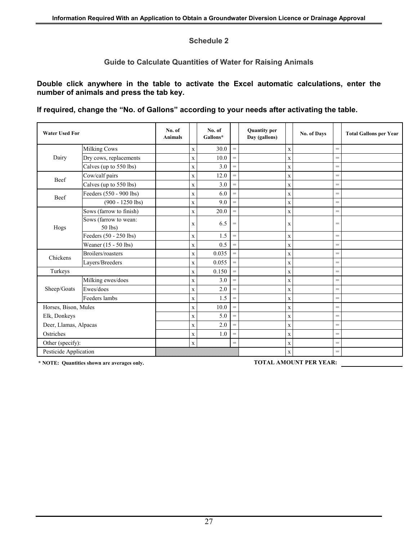#### **Schedule 2**

#### **Guide to Calculate Quantities of Water for Raising Animals**

**Double click anywhere in the table to activate the Excel automatic calculations, enter the number of animals and press the tab key.**

**If required, change the "No. of Gallons" according to your needs after activating the table.** 

| <b>Water Used For</b> |                                  | No. of<br><b>Animals</b> |              | No. of<br>Gallons* |                   | <b>Quantity per</b><br>Day (gallons) |             | No. of Days |     | <b>Total Gallons per Year</b> |
|-----------------------|----------------------------------|--------------------------|--------------|--------------------|-------------------|--------------------------------------|-------------|-------------|-----|-------------------------------|
|                       | <b>Milking Cows</b>              |                          | $\mathbf x$  | 30.0               | $\qquad \qquad =$ |                                      | $\mathbf x$ |             | $=$ |                               |
| Dairy                 | Dry cows, replacements           |                          | $\mathbf x$  | 10.0               | $=$               |                                      | $\mathbf X$ |             | $=$ |                               |
|                       | Calves (up to 550 lbs)           |                          | $\mathbf X$  | 3.0                | $=$               |                                      | $\mathbf X$ |             | $=$ |                               |
| Beef                  | Cow/calf pairs                   |                          | $\mathbf x$  | 12.0               | $=$               |                                      | $\mathbf X$ |             | $=$ |                               |
|                       | Calves (up to 550 lbs)           |                          | $\mathbf x$  | 3.0                | $=$               |                                      | $\mathbf X$ |             | $=$ |                               |
| Beef                  | Feeders (550 - 900 lbs)          |                          | $\mathbf x$  | 6.0                | $=$               |                                      | $\mathbf X$ |             | $=$ |                               |
|                       | $(900 - 1250$ lbs)               |                          | $\mathbf X$  | 9.0                | $=$               |                                      | $\mathbf X$ |             | $=$ |                               |
|                       | Sows (farrow to finish)          |                          | $\mathbf X$  | 20.0               | $=$               |                                      | $\mathbf X$ |             | $=$ |                               |
| Hogs                  | Sows (farrow to wean:<br>50 lbs) |                          | X            | 6.5                | $=$               |                                      | X           |             | $=$ |                               |
|                       | Feeders (50 - 250 lbs)           |                          | $\mathbf X$  | 1.5                | $=$               |                                      | $\mathbf X$ |             | $=$ |                               |
|                       | Weaner (15 - 50 lbs)             |                          | $\mathbf X$  | 0.5                | $=$               |                                      | X           |             | $=$ |                               |
| Chickens              | Broilers/roasters                |                          | $\mathbf X$  | 0.035              | $=$               |                                      | $\mathbf X$ |             | $=$ |                               |
|                       | Layers/Breeders                  |                          | $\mathbf X$  | 0.055              | $=$               |                                      | $\mathbf X$ |             | $=$ |                               |
| Turkeys               |                                  |                          | $\mathbf{x}$ | 0.150              | $=$               |                                      | $\mathbf X$ |             | $=$ |                               |
|                       | Milking ewes/does                |                          | $\mathbf X$  | 3.0                | $=$               |                                      | $\mathbf X$ |             | $=$ |                               |
| Sheep/Goats           | Ewes/does                        |                          | $\mathbf X$  | 2.0                | $=$               |                                      | $\mathbf X$ |             | $=$ |                               |
|                       | Feeders lambs                    |                          | $\mathbf X$  | 1.5                | $=$               |                                      | $\mathbf X$ |             | $=$ |                               |
| Horses, Bison, Mules  |                                  |                          | $\mathbf X$  | 10.0               | $=$               |                                      | $\mathbf X$ |             | $=$ |                               |
| Elk, Donkeys          |                                  |                          | $\mathbf x$  | 5.0                | $\qquad \qquad =$ |                                      | $\mathbf X$ |             | $=$ |                               |
| Deer, Llamas, Alpacas |                                  |                          | $\mathbf X$  | $2.0\,$            | $=$               |                                      | $\mathbf X$ |             | $=$ |                               |
| Ostriches             |                                  |                          | $\mathbf X$  | 1.0                | $=$               |                                      | $\mathbf X$ |             | $=$ |                               |
| Other (specify):      |                                  |                          | $\mathbf X$  |                    | $=$               |                                      | $\mathbf X$ |             | $=$ |                               |
| Pesticide Application |                                  |                          |              |                    |                   |                                      | $\mathbf X$ |             | $=$ |                               |

**\* NOTE: Quantities shown are averages only. TOTAL AMOUNT PER YEAR:**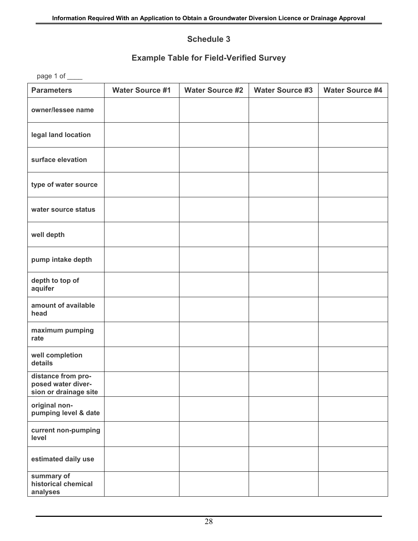#### **Schedule 3**

#### **Example Table for Field-Verified Survey**

page 1 of \_\_\_\_\_

| <b>Parameters</b>                                                 | <b>Water Source #1</b> | <b>Water Source #2</b> | <b>Water Source #3</b> | <b>Water Source #4</b> |
|-------------------------------------------------------------------|------------------------|------------------------|------------------------|------------------------|
| owner/lessee name                                                 |                        |                        |                        |                        |
| legal land location                                               |                        |                        |                        |                        |
| surface elevation                                                 |                        |                        |                        |                        |
| type of water source                                              |                        |                        |                        |                        |
| water source status                                               |                        |                        |                        |                        |
| well depth                                                        |                        |                        |                        |                        |
| pump intake depth                                                 |                        |                        |                        |                        |
| depth to top of<br>aquifer                                        |                        |                        |                        |                        |
| amount of available<br>head                                       |                        |                        |                        |                        |
| maximum pumping<br>rate                                           |                        |                        |                        |                        |
| well completion<br>details                                        |                        |                        |                        |                        |
| distance from pro-<br>posed water diver-<br>sion or drainage site |                        |                        |                        |                        |
| original non-<br>pumping level & date                             |                        |                        |                        |                        |
| current non-pumping<br>level                                      |                        |                        |                        |                        |
| estimated daily use                                               |                        |                        |                        |                        |
| summary of<br>historical chemical<br>analyses                     |                        |                        |                        |                        |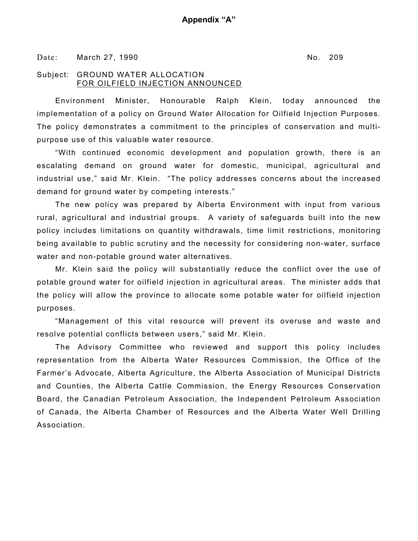Date: March 27, 1990 No. 209

#### Subject: GROUND WATER ALLOCATION FOR OILFIELD INJECTION ANNOUNCED

Environment Minister, Honourable Ralph Klein, today announced the implementation of a policy on Ground Water Allocation for Oilfield Injection Purposes. The policy demonstrates a commitment to the principles of conservation and multipurpose use of this valuable water resource.

"With continued economic development and population growth, there is an escalating demand on ground water for domestic, municipal, agricultural and industrial use," said Mr. Klein. "The policy addresses concerns about the increased demand for ground water by competing interests."

The new policy was prepared by Alberta Environment with input from various rural, agricultural and industrial groups. A variety of safeguards built into the new policy includes limitations on quantity withdrawals, time limit restrictions, monitoring being available to public scrutiny and the necessity for considering non-water, surface water and non-potable ground water alternatives.

Mr. Klein said the policy will substantially reduce the conflict over the use of potable ground water for oilfield injection in agricultural areas. The minister adds that the policy will allow the province to allocate some potable water for oilfield injection purposes.

"Management of this vital resource will prevent its overuse and waste and resolve potential conflicts between users," said Mr. Klein.

The Advisory Committee who reviewed and support this policy includes representation from the Alberta Water Resources Commission, the Office of the Farmer's Advocate, Alberta Agriculture, the Alberta Association of Municipal Districts and Counties, the Alberta Cattle Commission, the Energy Resources Conservation Board, the Canadian Petroleum Association, the Independent Petroleum Association of Canada, the Alberta Chamber of Resources and the Alberta Water Well Drilling Association.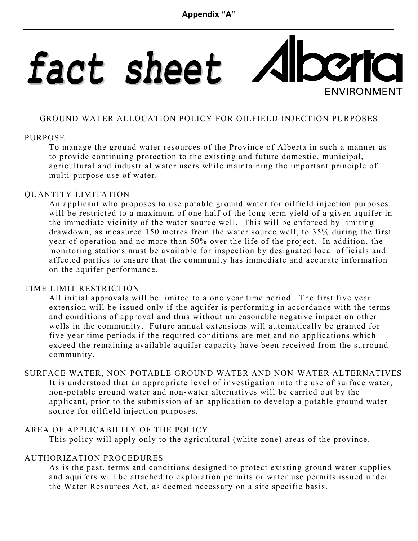## fact sheet  $\mathbf{C}$ **ENVIRONMENT**

#### GROUND WATER ALLOCATION POLICY FOR OILFIELD INJECTION PURPOSES

#### PURPOSE

To manage the ground water resources of the Province of Alberta in such a manner as to provide continuing protection to the existing and future domestic, municipal, agricultural and industrial water users while maintaining the important principle of multi-purpose use of water.

#### QUANTITY LIMITATION

An applicant who proposes to use potable ground water for oilfield injection purposes will be restricted to a maximum of one half of the long term yield of a given aquifer in the immediate vicinity of the water source well. This will be enforced by limiting drawdown, as measured 150 metres from the water source well, to 35% during the first year of operation and no more than 50% over the life of the project. In addition, the monitoring stations must be available for inspection by designated local officials and affected parties to ensure that the community has immediate and accurate information on the aquifer performance.

#### TIME LIMIT RESTRICTION

All initial approvals will be limited to a one year time period. The first five year extension will be issued only if the aquifer is performing in accordance with the terms and conditions of approval and thus without unreasonable negative impact on other wells in the community. Future annual extensions will automatically be granted for five year time periods if the required conditions are met and no applications which exceed the remaining available aquifer capacity have been received from the surround community.

#### SURFACE WATER, NON-POTABLE GROUND WATER AND NON-WATER ALTERNATIVES It is understood that an appropriate level of investigation into the use of surface water, non-potable ground water and non-water alternatives will be carried out by the applicant, prior to the submission of an application to develop a potable ground water source for oilfield injection purposes.

#### AREA OF APPLICABILITY OF THE POLICY

This policy will apply only to the agricultural (white zone) areas of the province.

#### AUTHORIZATION PROCEDURES

As is the past, terms and conditions designed to protect existing ground water supplies and aquifers will be attached to exploration permits or water use permits issued under the Water Resources Act, as deemed necessary on a site specific basis.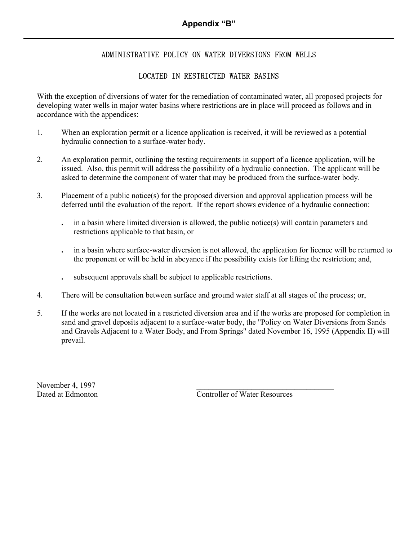#### ADMINISTRATIVE POLICY ON WATER DIVERSIONS FROM WELLS

#### LOCATED IN RESTRICTED WATER BASINS

With the exception of diversions of water for the remediation of contaminated water, all proposed projects for developing water wells in major water basins where restrictions are in place will proceed as follows and in accordance with the appendices:

- 1. When an exploration permit or a licence application is received, it will be reviewed as a potential hydraulic connection to a surface-water body.
- 2. An exploration permit, outlining the testing requirements in support of a licence application, will be issued. Also, this permit will address the possibility of a hydraulic connection. The applicant will be asked to determine the component of water that may be produced from the surface-water body.
- 3. Placement of a public notice(s) for the proposed diversion and approval application process will be deferred until the evaluation of the report. If the report shows evidence of a hydraulic connection:
	- **.** in a basin where limited diversion is allowed, the public notice(s) will contain parameters and restrictions applicable to that basin, or
	- **.** in a basin where surface-water diversion is not allowed, the application for licence will be returned to the proponent or will be held in abeyance if the possibility exists for lifting the restriction; and,
	- **.** subsequent approvals shall be subject to applicable restrictions.
- 4. There will be consultation between surface and ground water staff at all stages of the process; or,
- 5. If the works are not located in a restricted diversion area and if the works are proposed for completion in sand and gravel deposits adjacent to a surface-water body, the "Policy on Water Diversions from Sands and Gravels Adjacent to a Water Body, and From Springs" dated November 16, 1995 (Appendix II) will prevail.

November 4, 1997

Dated at Edmonton Controller of Water Resources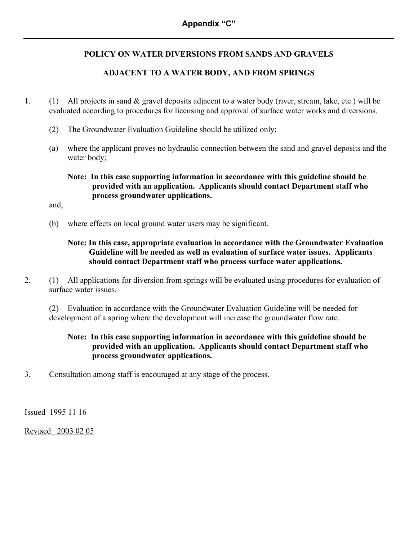#### **POLICY ON WATER DIVERSIONS FROM SANDS AND GRAVELS**

#### **ADJACENT TO A WATER BODY, AND FROM SPRINGS**

- 1. (1) All projects in sand & gravel deposits adjacent to a water body (river, stream, lake, etc.) will be evaluated according to procedures for licensing and approval of surface water works and diversions.
	- (2) The Groundwater Evaluation Guideline should be utilized only:
	- (a) where the applicant proves no hydraulic connection between the sand and gravel deposits and the water body;

#### **Note: In this case supporting information in accordance with this guideline should be provided with an application. Applicants should contact Department staff who process groundwater applications.**

and,

(b) where effects on local ground water users may be significant.

#### **Note: In this case, appropriate evaluation in accordance with the Groundwater Evaluation Guideline will be needed as well as evaluation of surface water issues. Applicants should contact Department staff who process surface water applications.**

2. (1) All applications for diversion from springs will be evaluated using procedures for evaluation of surface water issues.

(2) Evaluation in accordance with the Groundwater Evaluation Guideline will be needed for development of a spring where the development will increase the groundwater flow rate.

#### **Note: In this case supporting information in accordance with this guideline should be provided with an application. Applicants should contact Department staff who process groundwater applications.**

3. Consultation among staff is encouraged at any stage of the process.

Issued 1995 11 16

Revised 2003 02 05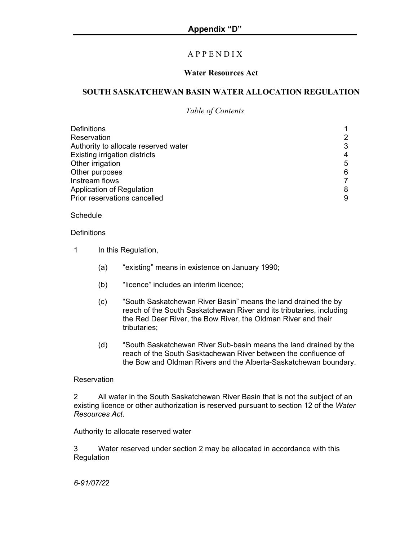#### A P P E N D I X

#### **Water Resources Act**

#### **SOUTH SASKATCHEWAN BASIN WATER ALLOCATION REGULATION**

#### *Table of Contents*

| Definitions                          |   |
|--------------------------------------|---|
| Reservation                          |   |
| Authority to allocate reserved water | 3 |
| <b>Existing irrigation districts</b> | 4 |
| Other irrigation                     | 5 |
| Other purposes                       | 6 |
| Instream flows                       |   |
| Application of Regulation            | 8 |
| Prior reservations cancelled         | 9 |

#### Schedule

#### **Definitions**

- 1 In this Regulation,
	- (a) "existing" means in existence on January 1990;
	- (b) "licence" includes an interim licence;
	- (c) "South Saskatchewan River Basin" means the land drained the by reach of the South Saskatchewan River and its tributaries, including the Red Deer River, the Bow River, the Oldman River and their tributaries;
	- (d) "South Saskatchewan River Sub-basin means the land drained by the reach of the South Sasktachewan River between the confluence of the Bow and Oldman Rivers and the Alberta-Saskatchewan boundary.

#### **Reservation**

2 All water in the South Saskatchewan River Basin that is not the subject of an existing licence or other authorization is reserved pursuant to section 12 of the *Water Resources Act*.

Authority to allocate reserved water

3 Water reserved under section 2 may be allocated in accordance with this **Regulation**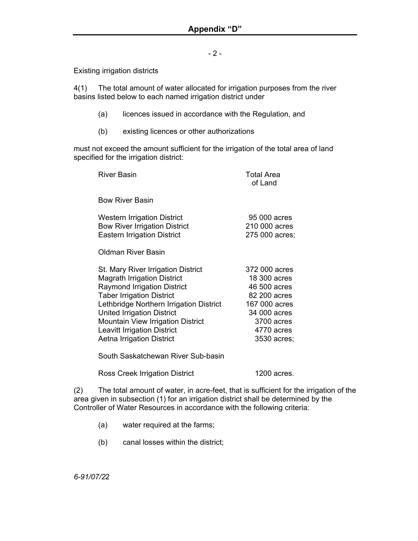- 2 -

Existing irrigation districts

4(1) The total amount of water allocated for irrigation purposes from the river basins listed below to each named irrigation district under

- (a) licences issued in accordance with the Regulation, and
- (b) existing licences or other authorizations

must not exceed the amount sufficient for the irrigation of the total area of land specified for the irrigation district:

| <b>River Basin</b>                                                                                                                                                                                                                                                                                                                                       | <b>Total Area</b><br>of Land                                                                                                              |
|----------------------------------------------------------------------------------------------------------------------------------------------------------------------------------------------------------------------------------------------------------------------------------------------------------------------------------------------------------|-------------------------------------------------------------------------------------------------------------------------------------------|
| <b>Bow River Basin</b>                                                                                                                                                                                                                                                                                                                                   |                                                                                                                                           |
| <b>Western Irrigation District</b><br><b>Bow River Irrigation District</b><br><b>Eastern Irrigation District</b>                                                                                                                                                                                                                                         | 95 000 acres<br>210 000 acres<br>275 000 acres;                                                                                           |
| Oldman River Basin                                                                                                                                                                                                                                                                                                                                       |                                                                                                                                           |
| St. Mary River Irrigation District<br><b>Magrath Irrigation District</b><br><b>Raymond Irrigation District</b><br><b>Taber Irrigation District</b><br>Lethbridge Northern Irrigation District<br><b>United Irrigation District</b><br><b>Mountain View Irrigation District</b><br><b>Leavitt Irrigation District</b><br><b>Aetna Irrigation District</b> | 372 000 acres<br>18 300 acres<br>46 500 acres<br>82 200 acres<br>167 000 acres<br>34 000 acres<br>3700 acres<br>4770 acres<br>3530 acres; |
| South Saskatchewan River Sub-basin                                                                                                                                                                                                                                                                                                                       |                                                                                                                                           |

Ross Creek Irrigation District 1200 acres.

(2) The total amount of water, in acre-feet, that is sufficient for the irrigation of the area given in subsection (1) for an irrigation district shall be determined by the Controller of Water Resources in accordance with the following criteria:

- (a) water required at the farms;
- (b) canal losses within the district;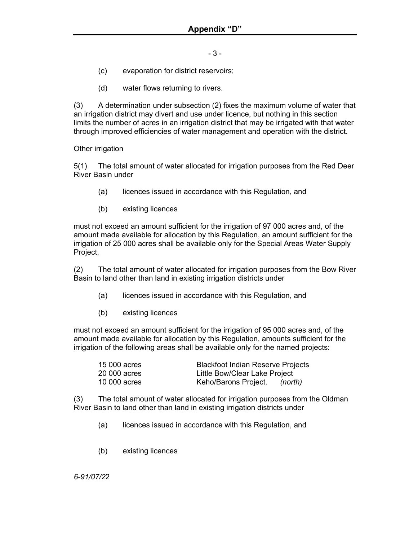- 3 -

- (c) evaporation for district reservoirs;
- (d) water flows returning to rivers.

(3) A determination under subsection (2) fixes the maximum volume of water that an irrigation district may divert and use under licence, but nothing in this section limits the number of acres in an irrigation district that may be irrigated with that water through improved efficiencies of water management and operation with the district.

Other irrigation

5(1) The total amount of water allocated for irrigation purposes from the Red Deer River Basin under

- (a) licences issued in accordance with this Regulation, and
- (b) existing licences

must not exceed an amount sufficient for the irrigation of 97 000 acres and, of the amount made available for allocation by this Regulation, an amount sufficient for the irrigation of 25 000 acres shall be available only for the Special Areas Water Supply Project,

(2) The total amount of water allocated for irrigation purposes from the Bow River Basin to land other than land in existing irrigation districts under

- (a) licences issued in accordance with this Regulation, and
- (b) existing licences

must not exceed an amount sufficient for the irrigation of 95 000 acres and, of the amount made available for allocation by this Regulation, amounts sufficient for the irrigation of the following areas shall be available only for the named projects:

| 15 000 acres | <b>Blackfoot Indian Reserve Projects</b> |
|--------------|------------------------------------------|
| 20 000 acres | Little Bow/Clear Lake Project            |
| 10 000 acres | Keho/Barons Project.<br>(north)          |

(3) The total amount of water allocated for irrigation purposes from the Oldman River Basin to land other than land in existing irrigation districts under

- (a) licences issued in accordance with this Regulation, and
- (b) existing licences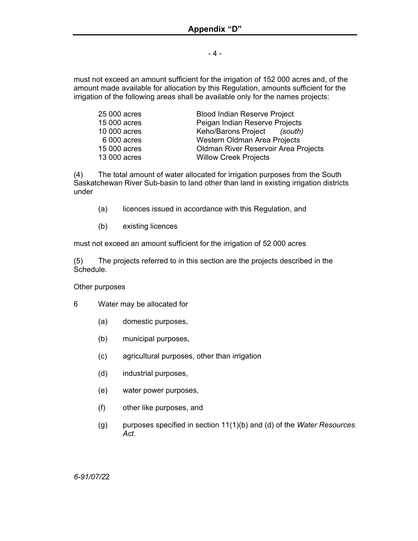- 4 -

must not exceed an amount sufficient for the irrigation of 152 000 acres and, of the amount made available for allocation by this Regulation, amounts sufficient for the irrigation of the following areas shall be available only for the names projects:

| 25 000 acres | <b>Blood Indian Reserve Project</b>  |
|--------------|--------------------------------------|
| 15 000 acres | Peigan Indian Reserve Projects       |
| 10 000 acres | Keho/Barons Project (south)          |
| 6 000 acres  | Western Oldman Area Projects         |
| 15 000 acres | Oldman River Reservoir Area Projects |
| 13 000 acres | <b>Willow Creek Projects</b>         |

(4) The total amount of water allocated for irrigation purposes from the South Saskatchewan River Sub-basin to land other than land in existing irrigation districts under

- (a) licences issued in accordance with this Regulation, and
- (b) existing licences

must not exceed an amount sufficient for the irrigation of 52 000 acres

(5) The projects referred to in this section are the projects described in the Schedule.

#### Other purposes

- 6 Water may be allocated for
	- (a) domestic purposes,
	- (b) municipal purposes,
	- (c) agricultural purposes, other than irrigation
	- (d) industrial purposes,
	- (e) water power purposes,
	- (f) other like purposes, and
	- (g) purposes specified in section 11(1)(b) and (d) of the *Water Resources Act*.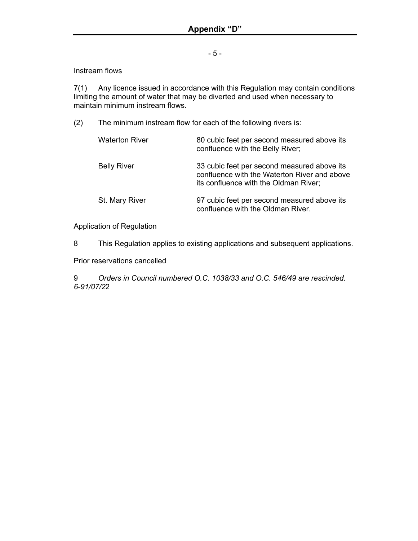- 5 -

Instream flows

7(1) Any licence issued in accordance with this Regulation may contain conditions limiting the amount of water that may be diverted and used when necessary to maintain minimum instream flows.

(2) The minimum instream flow for each of the following rivers is:

| <b>Waterton River</b> | 80 cubic feet per second measured above its<br>confluence with the Belly River;                                                      |
|-----------------------|--------------------------------------------------------------------------------------------------------------------------------------|
| <b>Belly River</b>    | 33 cubic feet per second measured above its<br>confluence with the Waterton River and above<br>its confluence with the Oldman River; |
| St. Mary River        | 97 cubic feet per second measured above its<br>confluence with the Oldman River.                                                     |

Application of Regulation

8 This Regulation applies to existing applications and subsequent applications.

Prior reservations cancelled

9 *Orders in Council numbered O.C. 1038/33 and O.C. 546/49 are rescinded. 6-91/07/2*2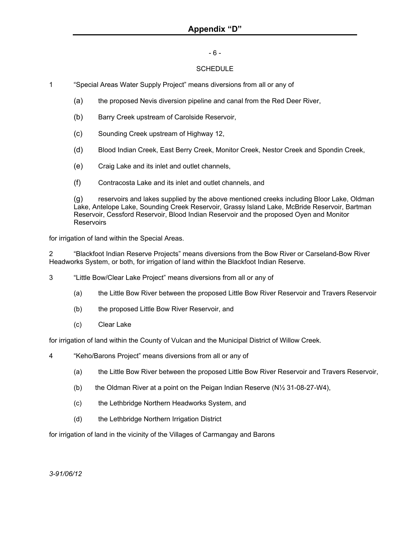#### - 6 -

#### **SCHEDULE**

- 1 "Special Areas Water Supply Project" means diversions from all or any of
	- (a) the proposed Nevis diversion pipeline and canal from the Red Deer River,
	- (b) Barry Creek upstream of Carolside Reservoir,
	- (c) Sounding Creek upstream of Highway 12,
	- (d) Blood Indian Creek, East Berry Creek, Monitor Creek, Nestor Creek and Spondin Creek,
	- (e) Craig Lake and its inlet and outlet channels,
	- (f) Contracosta Lake and its inlet and outlet channels, and

(g) reservoirs and lakes supplied by the above mentioned creeks including Bloor Lake, Oldman Lake, Antelope Lake, Sounding Creek Reservoir, Grassy Island Lake, McBride Reservoir, Bartman Reservoir, Cessford Reservoir, Blood Indian Reservoir and the proposed Oyen and Monitor **Reservoirs** 

for irrigation of land within the Special Areas.

2 "Blackfoot Indian Reserve Projects" means diversions from the Bow River or Carseland-Bow River Headworks System, or both, for irrigation of land within the Blackfoot Indian Reserve.

- 3 "Little Bow/Clear Lake Project" means diversions from all or any of
	- (a) the Little Bow River between the proposed Little Bow River Reservoir and Travers Reservoir
	- (b) the proposed Little Bow River Reservoir, and
	- (c) Clear Lake

for irrigation of land within the County of Vulcan and the Municipal District of Willow Creek.

- 4 "Keho/Barons Project" means diversions from all or any of
	- (a) the Little Bow River between the proposed Little Bow River Reservoir and Travers Reservoir,
	- (b) the Oldman River at a point on the Peigan Indian Reserve (N½ 31-08-27-W4),
	- (c) the Lethbridge Northern Headworks System, and
	- (d) the Lethbridge Northern Irrigation District

for irrigation of land in the vicinity of the Villages of Carmangay and Barons

*3-91/06/12*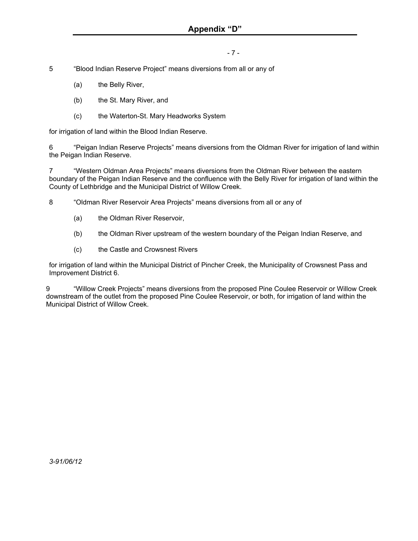#### - 7 -

- 5 "Blood Indian Reserve Project" means diversions from all or any of
	- (a) the Belly River,
	- (b) the St. Mary River, and
	- (c) the Waterton-St. Mary Headworks System

for irrigation of land within the Blood Indian Reserve.

6 "Peigan Indian Reserve Projects" means diversions from the Oldman River for irrigation of land within the Peigan Indian Reserve.

7 "Western Oldman Area Projects" means diversions from the Oldman River between the eastern boundary of the Peigan Indian Reserve and the confluence with the Belly River for irrigation of land within the County of Lethbridge and the Municipal District of Willow Creek.

8 "Oldman River Reservoir Area Projects" means diversions from all or any of

- (a) the Oldman River Reservoir,
- (b) the Oldman River upstream of the western boundary of the Peigan Indian Reserve, and
- (c) the Castle and Crowsnest Rivers

for irrigation of land within the Municipal District of Pincher Creek, the Municipality of Crowsnest Pass and Improvement District 6.

9 "Willow Creek Projects" means diversions from the proposed Pine Coulee Reservoir or Willow Creek downstream of the outlet from the proposed Pine Coulee Reservoir, or both, for irrigation of land within the Municipal District of Willow Creek.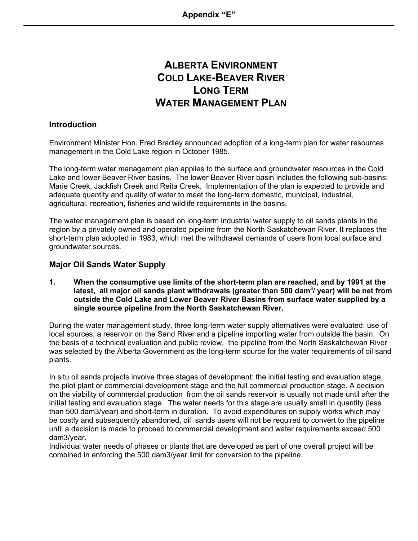## **ALBERTA ENVIRONMENT COLD LAKE-BEAVER RIVER LONG TERM WATER MANAGEMENT PLAN**

#### **Introduction**

Environment Minister Hon. Fred Bradley announced adoption of a long-term plan for water resources management in the Cold Lake region in October 1985.

The long-term water management plan applies to the surface and groundwater resources in the Cold Lake and lower Beaver River basins. The lower Beaver River basin includes the following sub-basins: Marie Creek, Jackfish Creek and Reita Creek. Implementation of the plan is expected to provide and adequate quantity and quality of water to meet the long-term domestic, municipal, industrial, agricultural, recreation, fisheries and wildlife requirements in the basins.

The water management plan is based on long-term industrial water supply to oil sands plants in the region by a privately owned and operated pipeline from the North Saskatchewan River. It replaces the short-term plan adopted in 1983, which met the withdrawal demands of users from local surface and groundwater sources.

#### **Major Oil Sands Water Supply**

**1. When the consumptive use limits of the short-term plan are reached, and by 1991 at the**  latest, all major oil sands plant withdrawals (greater than 500 dam<sup>3</sup>/ year) will be net from **outside the Cold Lake and Lower Beaver River Basins from surface water supplied by a single source pipeline from the North Saskatchewan River.**

During the water management study, three long-term water supply alternatives were evaluated: use of local sources, a reservoir on the Sand River and a pipeline importing water from outside the basin. On the basis of a technical evaluation and public review, the pipeline from the North Saskatchewan River was selected by the Alberta Government as the long-term source for the water requirements of oil sand plants.

In situ oil sands projects involve three stages of development: the initial testing and evaluation stage, the pilot plant or commercial development stage and the full commercial production stage. A decision on the viability of commercial production from the oil sands reservoir is usually not made until after the initial testing and evaluation stage. The water needs for this stage are usually small in quantity (less than 500 dam3/year) and short-term in duration. To avoid expenditures on supply works which may be costly and subsequently abandoned, oil sands users will not be required to convert to the pipeline until a decision is made to proceed to commercial development and water requirements exceed 500 dam3/year.

Individual water needs of phases or plants that are developed as part of one overall project will be combined in enforcing the 500 dam3/year limit for conversion to the pipeline.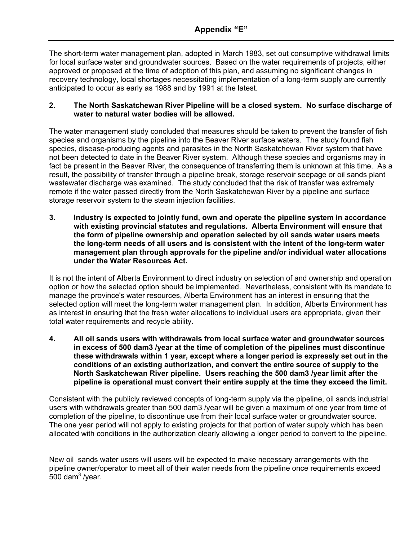The short-term water management plan, adopted in March 1983, set out consumptive withdrawal limits for local surface water and groundwater sources. Based on the water requirements of projects, either approved or proposed at the time of adoption of this plan, and assuming no significant changes in recovery technology, local shortages necessitating implementation of a long-term supply are currently anticipated to occur as early as 1988 and by 1991 at the latest.

#### **2. The North Saskatchewan River Pipeline will be a closed system. No surface discharge of water to natural water bodies will be allowed.**

The water management study concluded that measures should be taken to prevent the transfer of fish species and organisms by the pipeline into the Beaver River surface waters. The study found fish species, disease-producing agents and parasites in the North Saskatchewan River system that have not been detected to date in the Beaver River system. Although these species and organisms may in fact be present in the Beaver River, the consequence of transferring them is unknown at this time. As a result, the possibility of transfer through a pipeline break, storage reservoir seepage or oil sands plant wastewater discharge was examined. The study concluded that the risk of transfer was extremely remote if the water passed directly from the North Saskatchewan River by a pipeline and surface storage reservoir system to the steam injection facilities.

**3. Industry is expected to jointly fund, own and operate the pipeline system in accordance with existing provincial statutes and regulations. Alberta Environment will ensure that the form of pipeline ownership and operation selected by oil sands water users meets the long-term needs of all users and is consistent with the intent of the long-term water management plan through approvals for the pipeline and/or individual water allocations under the Water Resources Act.** 

It is not the intent of Alberta Environment to direct industry on selection of and ownership and operation option or how the selected option should be implemented. Nevertheless, consistent with its mandate to manage the province's water resources, Alberta Environment has an interest in ensuring that the selected option will meet the long-term water management plan. In addition, Alberta Environment has as interest in ensuring that the fresh water allocations to individual users are appropriate, given their total water requirements and recycle ability.

**4. All oil sands users with withdrawals from local surface water and groundwater sources in excess of 500 dam3 /year at the time of completion of the pipelines must discontinue these withdrawals within 1 year, except where a longer period is expressly set out in the conditions of an existing authorization, and convert the entire source of supply to the North Saskatchewan River pipeline. Users reaching the 500 dam3 /year limit after the pipeline is operational must convert their entire supply at the time they exceed the limit.** 

Consistent with the publicly reviewed concepts of long-term supply via the pipeline, oil sands industrial users with withdrawals greater than 500 dam3 /year will be given a maximum of one year from time of completion of the pipeline, to discontinue use from their local surface water or groundwater source. The one year period will not apply to existing projects for that portion of water supply which has been allocated with conditions in the authorization clearly allowing a longer period to convert to the pipeline.

New oil sands water users will users will be expected to make necessary arrangements with the pipeline owner/operator to meet all of their water needs from the pipeline once requirements exceed  $500$  dam<sup>3</sup> /year.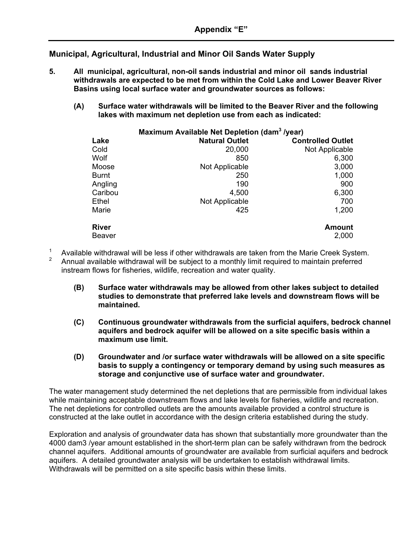**Municipal, Agricultural, Industrial and Minor Oil Sands Water Supply**

- **5. All municipal, agricultural, non-oil sands industrial and minor oil sands industrial withdrawals are expected to be met from within the Cold Lake and Lower Beaver River Basins using local surface water and groundwater sources as follows:** 
	- **(A) Surface water withdrawals will be limited to the Beaver River and the following lakes with maximum net depletion use from each as indicated:**

| Maximum Available Net Depletion (dam <sup>3</sup> /year) |                       |                          |  |  |
|----------------------------------------------------------|-----------------------|--------------------------|--|--|
| Lake                                                     | <b>Natural Outlet</b> | <b>Controlled Outlet</b> |  |  |
| Cold                                                     | 20,000                | Not Applicable           |  |  |
| Wolf                                                     | 850                   | 6,300                    |  |  |
| Moose                                                    | Not Applicable        | 3,000                    |  |  |
| <b>Burnt</b>                                             | 250                   | 1,000                    |  |  |
| Angling                                                  | 190                   | 900                      |  |  |
| Caribou                                                  | 4,500                 | 6,300                    |  |  |
| Ethel                                                    | Not Applicable        | 700                      |  |  |
| Marie                                                    | 425                   | 1,200                    |  |  |
| <b>River</b>                                             |                       | <b>Amount</b>            |  |  |
| <b>Beaver</b>                                            |                       | 2,000                    |  |  |

- <sup>1</sup> Available withdrawal will be less if other withdrawals are taken from the Marie Creek System.<br><sup>2</sup> Appual available withdrawal will be subject to a monthly limit required to maintain proferred.
- <sup>2</sup> Annual available withdrawal will be subject to a monthly limit required to maintain preferred instream flows for fisheries, wildlife, recreation and water quality.
	- **(B) Surface water withdrawals may be allowed from other lakes subject to detailed studies to demonstrate that preferred lake levels and downstream flows will be maintained.**
	- **(C) Continuous groundwater withdrawals from the surficial aquifers, bedrock channel aquifers and bedrock aquifer will be allowed on a site specific basis within a maximum use limit.**
	- **(D) Groundwater and /or surface water withdrawals will be allowed on a site specific basis to supply a contingency or temporary demand by using such measures as storage and conjunctive use of surface water and groundwater.**

The water management study determined the net depletions that are permissible from individual lakes while maintaining acceptable downstream flows and lake levels for fisheries, wildlife and recreation. The net depletions for controlled outlets are the amounts available provided a control structure is constructed at the lake outlet in accordance with the design criteria established during the study.

Exploration and analysis of groundwater data has shown that substantially more groundwater than the 4000 dam3 /year amount established in the short-term plan can be safely withdrawn from the bedrock channel aquifers. Additional amounts of groundwater are available from surficial aquifers and bedrock aquifers. A detailed groundwater analysis will be undertaken to establish withdrawal limits. Withdrawals will be permitted on a site specific basis within these limits.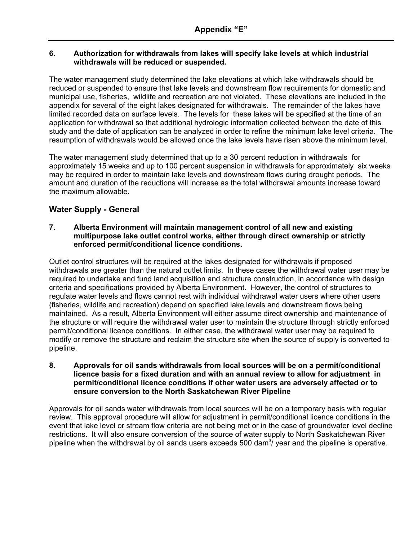#### **6. Authorization for withdrawals from lakes will specify lake levels at which industrial withdrawals will be reduced or suspended.**

The water management study determined the lake elevations at which lake withdrawals should be reduced or suspended to ensure that lake levels and downstream flow requirements for domestic and municipal use, fisheries, wildlife and recreation are not violated. These elevations are included in the appendix for several of the eight lakes designated for withdrawals. The remainder of the lakes have limited recorded data on surface levels. The levels for these lakes will be specified at the time of an application for withdrawal so that additional hydrologic information collected between the date of this study and the date of application can be analyzed in order to refine the minimum lake level criteria. The resumption of withdrawals would be allowed once the lake levels have risen above the minimum level.

The water management study determined that up to a 30 percent reduction in withdrawals for approximately 15 weeks and up to 100 percent suspension in withdrawals for approximately six weeks may be required in order to maintain lake levels and downstream flows during drought periods. The amount and duration of the reductions will increase as the total withdrawal amounts increase toward the maximum allowable.

#### **Water Supply - General**

#### **7. Alberta Environment will maintain management control of all new and existing multipurpose lake outlet control works, either through direct ownership or strictly enforced permit/conditional licence conditions.**

Outlet control structures will be required at the lakes designated for withdrawals if proposed withdrawals are greater than the natural outlet limits. In these cases the withdrawal water user may be required to undertake and fund land acquisition and structure construction, in accordance with design criteria and specifications provided by Alberta Environment. However, the control of structures to regulate water levels and flows cannot rest with individual withdrawal water users where other users (fisheries, wildlife and recreation) depend on specified lake levels and downstream flows being maintained. As a result, Alberta Environment will either assume direct ownership and maintenance of the structure or will require the withdrawal water user to maintain the structure through strictly enforced permit/conditional licence conditions. In either case, the withdrawal water user may be required to modify or remove the structure and reclaim the structure site when the source of supply is converted to pipeline.

#### **8. Approvals for oil sands withdrawals from local sources will be on a permit/conditional licence basis for a fixed duration and with an annual review to allow for adjustment in permit/conditional licence conditions if other water users are adversely affected or to ensure conversion to the North Saskatchewan River Pipeline**

Approvals for oil sands water withdrawals from local sources will be on a temporary basis with regular review. This approval procedure will allow for adjustment in permit/conditional licence conditions in the event that lake level or stream flow criteria are not being met or in the case of groundwater level decline restrictions. It will also ensure conversion of the source of water supply to North Saskatchewan River pipeline when the withdrawal by oil sands users exceeds 500 dam<sup>3</sup>/ year and the pipeline is operative.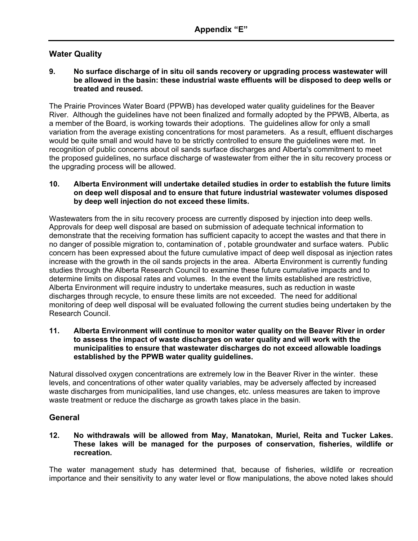#### **Water Quality**

#### **9. No surface discharge of in situ oil sands recovery or upgrading process wastewater will be allowed in the basin: these industrial waste effluents will be disposed to deep wells or treated and reused.**

The Prairie Provinces Water Board (PPWB) has developed water quality guidelines for the Beaver River. Although the guidelines have not been finalized and formally adopted by the PPWB, Alberta, as a member of the Board, is working towards their adoptions. The guidelines allow for only a small variation from the average existing concentrations for most parameters. As a result, effluent discharges would be quite small and would have to be strictly controlled to ensure the guidelines were met. In recognition of public concerns about oil sands surface discharges and Alberta's commitment to meet the proposed guidelines, no surface discharge of wastewater from either the in situ recovery process or the upgrading process will be allowed.

#### **10. Alberta Environment will undertake detailed studies in order to establish the future limits on deep well disposal and to ensure that future industrial wastewater volumes disposed by deep well injection do not exceed these limits.**

Wastewaters from the in situ recovery process are currently disposed by injection into deep wells. Approvals for deep well disposal are based on submission of adequate technical information to demonstrate that the receiving formation has sufficient capacity to accept the wastes and that there in no danger of possible migration to, contamination of , potable groundwater and surface waters. Public concern has been expressed about the future cumulative impact of deep well disposal as injection rates increase with the growth in the oil sands projects in the area. Alberta Environment is currently funding studies through the Alberta Research Council to examine these future cumulative impacts and to determine limits on disposal rates and volumes. In the event the limits established are restrictive, Alberta Environment will require industry to undertake measures, such as reduction in waste discharges through recycle, to ensure these limits are not exceeded. The need for additional monitoring of deep well disposal will be evaluated following the current studies being undertaken by the Research Council.

#### **11. Alberta Environment will continue to monitor water quality on the Beaver River in order to assess the impact of waste discharges on water quality and will work with the municipalities to ensure that wastewater discharges do not exceed allowable loadings established by the PPWB water quality guidelines.**

Natural dissolved oxygen concentrations are extremely low in the Beaver River in the winter. these levels, and concentrations of other water quality variables, may be adversely affected by increased waste discharges from municipalities, land use changes, etc. unless measures are taken to improve waste treatment or reduce the discharge as growth takes place in the basin.

#### **General**

#### **12. No withdrawals will be allowed from May, Manatokan, Muriel, Reita and Tucker Lakes. These lakes will be managed for the purposes of conservation, fisheries, wildlife or recreation.**

The water management study has determined that, because of fisheries, wildlife or recreation importance and their sensitivity to any water level or flow manipulations, the above noted lakes should